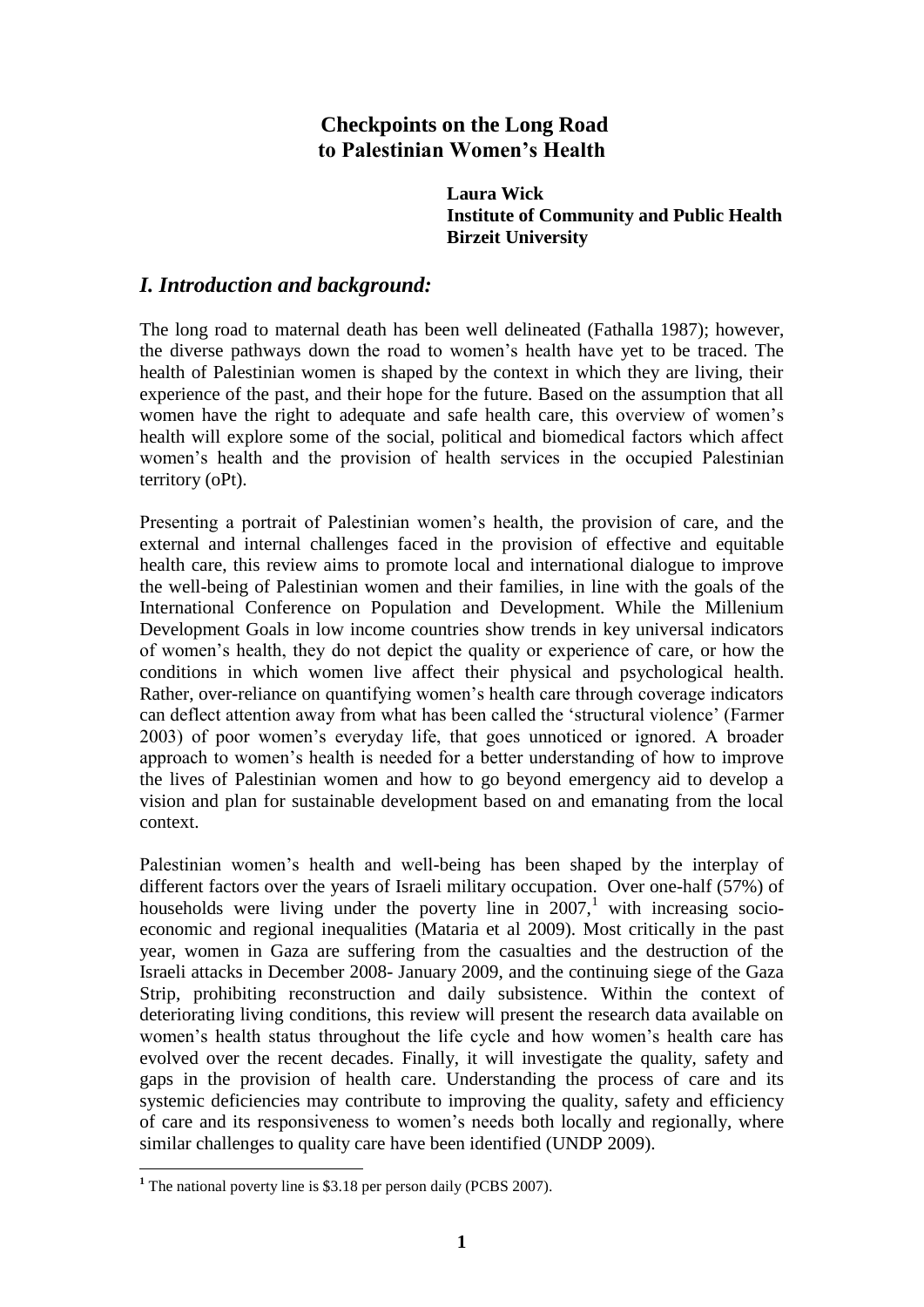# **Checkpoints on the Long Road to Palestinian Women's Health**

 **Laura Wick Institute of Community and Public Health Birzeit University**

## *I. Introduction and background:*

The long road to maternal death has been well delineated (Fathalla 1987); however, the diverse pathways down the road to women"s health have yet to be traced. The health of Palestinian women is shaped by the context in which they are living, their experience of the past, and their hope for the future. Based on the assumption that all women have the right to adequate and safe health care, this overview of women"s health will explore some of the social, political and biomedical factors which affect women"s health and the provision of health services in the occupied Palestinian territory (oPt).

Presenting a portrait of Palestinian women"s health, the provision of care, and the external and internal challenges faced in the provision of effective and equitable health care, this review aims to promote local and international dialogue to improve the well-being of Palestinian women and their families, in line with the goals of the International Conference on Population and Development. While the Millenium Development Goals in low income countries show trends in key universal indicators of women"s health, they do not depict the quality or experience of care, or how the conditions in which women live affect their physical and psychological health. Rather, over-reliance on quantifying women"s health care through coverage indicators can deflect attention away from what has been called the "structural violence" (Farmer 2003) of poor women"s everyday life, that goes unnoticed or ignored. A broader approach to women"s health is needed for a better understanding of how to improve the lives of Palestinian women and how to go beyond emergency aid to develop a vision and plan for sustainable development based on and emanating from the local context.

Palestinian women"s health and well-being has been shaped by the interplay of different factors over the years of Israeli military occupation. Over one-half (57%) of households were living under the poverty line in  $2007<sup>1</sup>$  with increasing socioeconomic and regional inequalities (Mataria et al 2009). Most critically in the past year, women in Gaza are suffering from the casualties and the destruction of the Israeli attacks in December 2008- January 2009, and the continuing siege of the Gaza Strip, prohibiting reconstruction and daily subsistence. Within the context of deteriorating living conditions, this review will present the research data available on women's health status throughout the life cycle and how women's health care has evolved over the recent decades. Finally, it will investigate the quality, safety and gaps in the provision of health care. Understanding the process of care and its systemic deficiencies may contribute to improving the quality, safety and efficiency of care and its responsiveness to women"s needs both locally and regionally, where similar challenges to quality care have been identified (UNDP 2009).

<sup>&</sup>lt;sup>1</sup> The national poverty line is \$3.18 per person daily (PCBS 2007).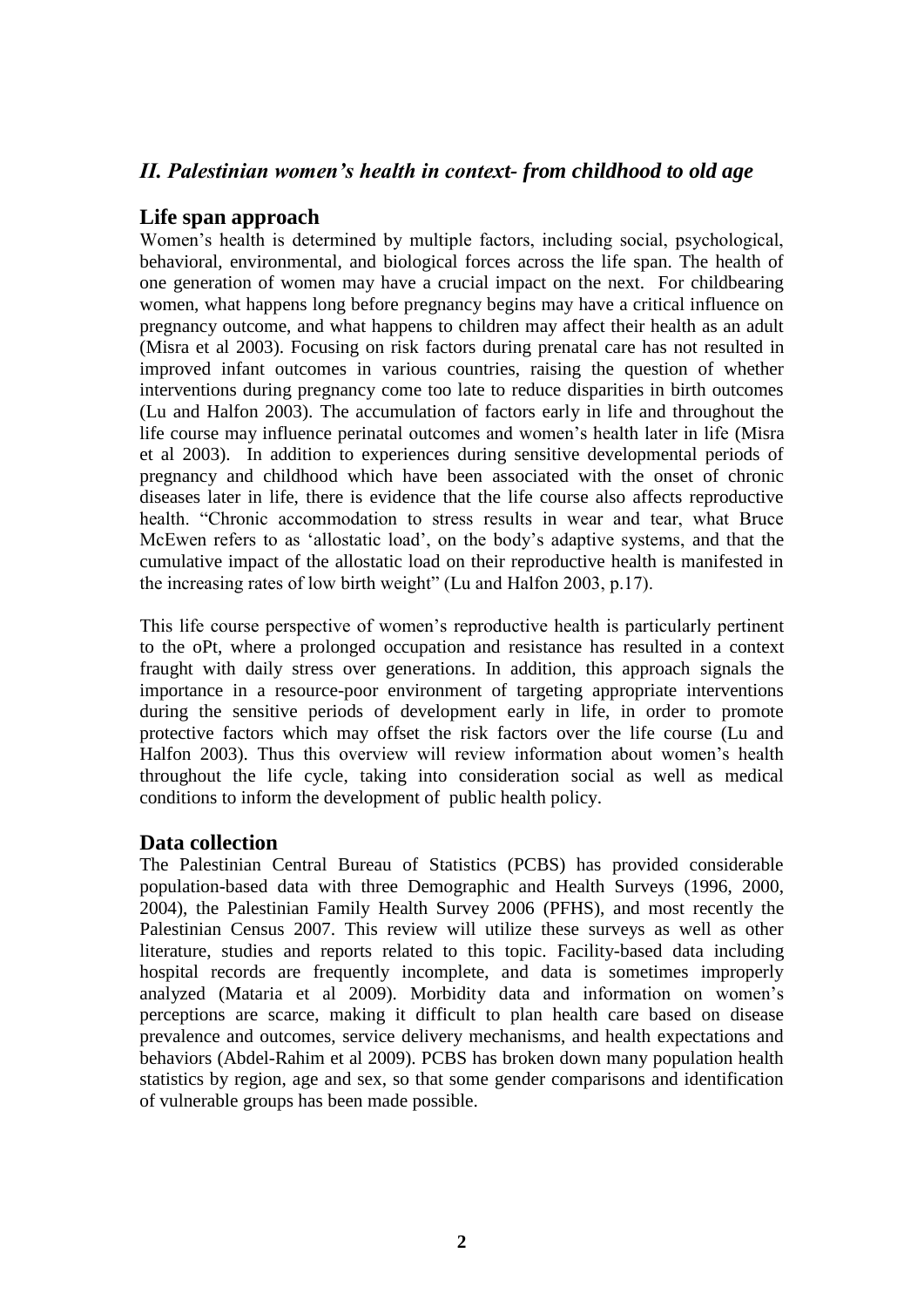# *II. Palestinian women's health in context- from childhood to old age*

## **Life span approach**

Women's health is determined by multiple factors, including social, psychological, behavioral, environmental, and biological forces across the life span. The health of one generation of women may have a crucial impact on the next. For childbearing women, what happens long before pregnancy begins may have a critical influence on pregnancy outcome, and what happens to children may affect their health as an adult (Misra et al 2003). Focusing on risk factors during prenatal care has not resulted in improved infant outcomes in various countries, raising the question of whether interventions during pregnancy come too late to reduce disparities in birth outcomes (Lu and Halfon 2003). The accumulation of factors early in life and throughout the life course may influence perinatal outcomes and women"s health later in life (Misra et al 2003). In addition to experiences during sensitive developmental periods of pregnancy and childhood which have been associated with the onset of chronic diseases later in life, there is evidence that the life course also affects reproductive health. "Chronic accommodation to stress results in wear and tear, what Bruce McEwen refers to as "allostatic load", on the body"s adaptive systems, and that the cumulative impact of the allostatic load on their reproductive health is manifested in the increasing rates of low birth weight" (Lu and Halfon 2003, p.17).

This life course perspective of women"s reproductive health is particularly pertinent to the oPt, where a prolonged occupation and resistance has resulted in a context fraught with daily stress over generations. In addition, this approach signals the importance in a resource-poor environment of targeting appropriate interventions during the sensitive periods of development early in life, in order to promote protective factors which may offset the risk factors over the life course (Lu and Halfon 2003). Thus this overview will review information about women's health throughout the life cycle, taking into consideration social as well as medical conditions to inform the development of public health policy.

# **Data collection**

The Palestinian Central Bureau of Statistics (PCBS) has provided considerable population-based data with three Demographic and Health Surveys (1996, 2000, 2004), the Palestinian Family Health Survey 2006 (PFHS), and most recently the Palestinian Census 2007. This review will utilize these surveys as well as other literature, studies and reports related to this topic. Facility-based data including hospital records are frequently incomplete, and data is sometimes improperly analyzed (Mataria et al 2009). Morbidity data and information on women"s perceptions are scarce, making it difficult to plan health care based on disease prevalence and outcomes, service delivery mechanisms, and health expectations and behaviors (Abdel-Rahim et al 2009). PCBS has broken down many population health statistics by region, age and sex, so that some gender comparisons and identification of vulnerable groups has been made possible.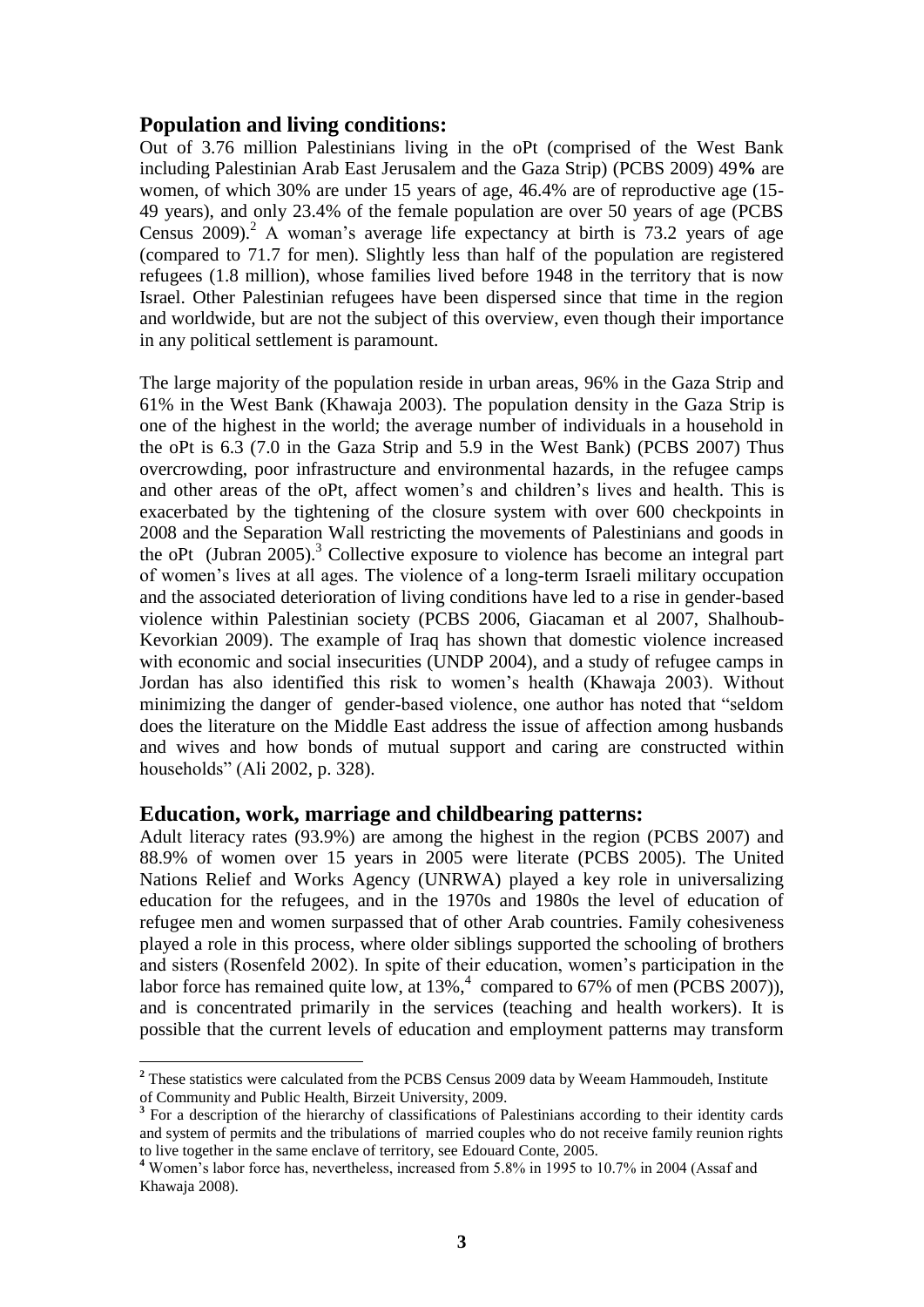## **Population and living conditions:**

Out of 3.76 million Palestinians living in the oPt (comprised of the West Bank including Palestinian Arab East Jerusalem and the Gaza Strip) (PCBS 2009) 49**%** are women, of which 30% are under 15 years of age, 46.4% are of reproductive age (15- 49 years), and only 23.4% of the female population are over 50 years of age (PCBS Census 2009).<sup>2</sup> A woman's average life expectancy at birth is 73.2 years of age (compared to 71.7 for men). Slightly less than half of the population are registered refugees (1.8 million), whose families lived before 1948 in the territory that is now Israel. Other Palestinian refugees have been dispersed since that time in the region and worldwide, but are not the subject of this overview, even though their importance in any political settlement is paramount.

The large majority of the population reside in urban areas, 96% in the Gaza Strip and 61% in the West Bank (Khawaja 2003). The population density in the Gaza Strip is one of the highest in the world; the average number of individuals in a household in the oPt is 6.3 (7.0 in the Gaza Strip and 5.9 in the West Bank) (PCBS 2007) Thus overcrowding, poor infrastructure and environmental hazards, in the refugee camps and other areas of the oPt, affect women"s and children"s lives and health. This is exacerbated by the tightening of the closure system with over 600 checkpoints in 2008 and the Separation Wall restricting the movements of Palestinians and goods in the oPt (Jubran 2005).<sup>3</sup> Collective exposure to violence has become an integral part of women"s lives at all ages. The violence of a long-term Israeli military occupation and the associated deterioration of living conditions have led to a rise in gender-based violence within Palestinian society (PCBS 2006, Giacaman et al 2007, Shalhoub-Kevorkian 2009). The example of Iraq has shown that domestic violence increased with economic and social insecurities (UNDP 2004), and a study of refugee camps in Jordan has also identified this risk to women"s health (Khawaja 2003). Without minimizing the danger of gender-based violence, one author has noted that "seldom does the literature on the Middle East address the issue of affection among husbands and wives and how bonds of mutual support and caring are constructed within households" (Ali 2002, p. 328).

#### **Education, work, marriage and childbearing patterns:**

Adult literacy rates (93.9%) are among the highest in the region (PCBS 2007) and 88.9% of women over 15 years in 2005 were literate (PCBS 2005). The United Nations Relief and Works Agency (UNRWA) played a key role in universalizing education for the refugees, and in the 1970s and 1980s the level of education of refugee men and women surpassed that of other Arab countries. Family cohesiveness played a role in this process, where older siblings supported the schooling of brothers and sisters (Rosenfeld 2002). In spite of their education, women"s participation in the labor force has remained quite low, at 13%,<sup>4</sup> compared to 67% of men (PCBS 2007)), and is concentrated primarily in the services (teaching and health workers). It is possible that the current levels of education and employment patterns may transform

<sup>&</sup>lt;sup>2</sup> These statistics were calculated from the PCBS Census 2009 data by Weeam Hammoudeh, Institute of Community and Public Health, Birzeit University, 2009.

<sup>&</sup>lt;sup>3</sup> For a description of the hierarchy of classifications of Palestinians according to their identity cards and system of permits and the tribulations of married couples who do not receive family reunion rights to live together in the same enclave of territory, see Edouard Conte, 2005.

**<sup>4</sup>** Women"s labor force has, nevertheless, increased from 5.8% in 1995 to 10.7% in 2004 (Assaf and Khawaja 2008).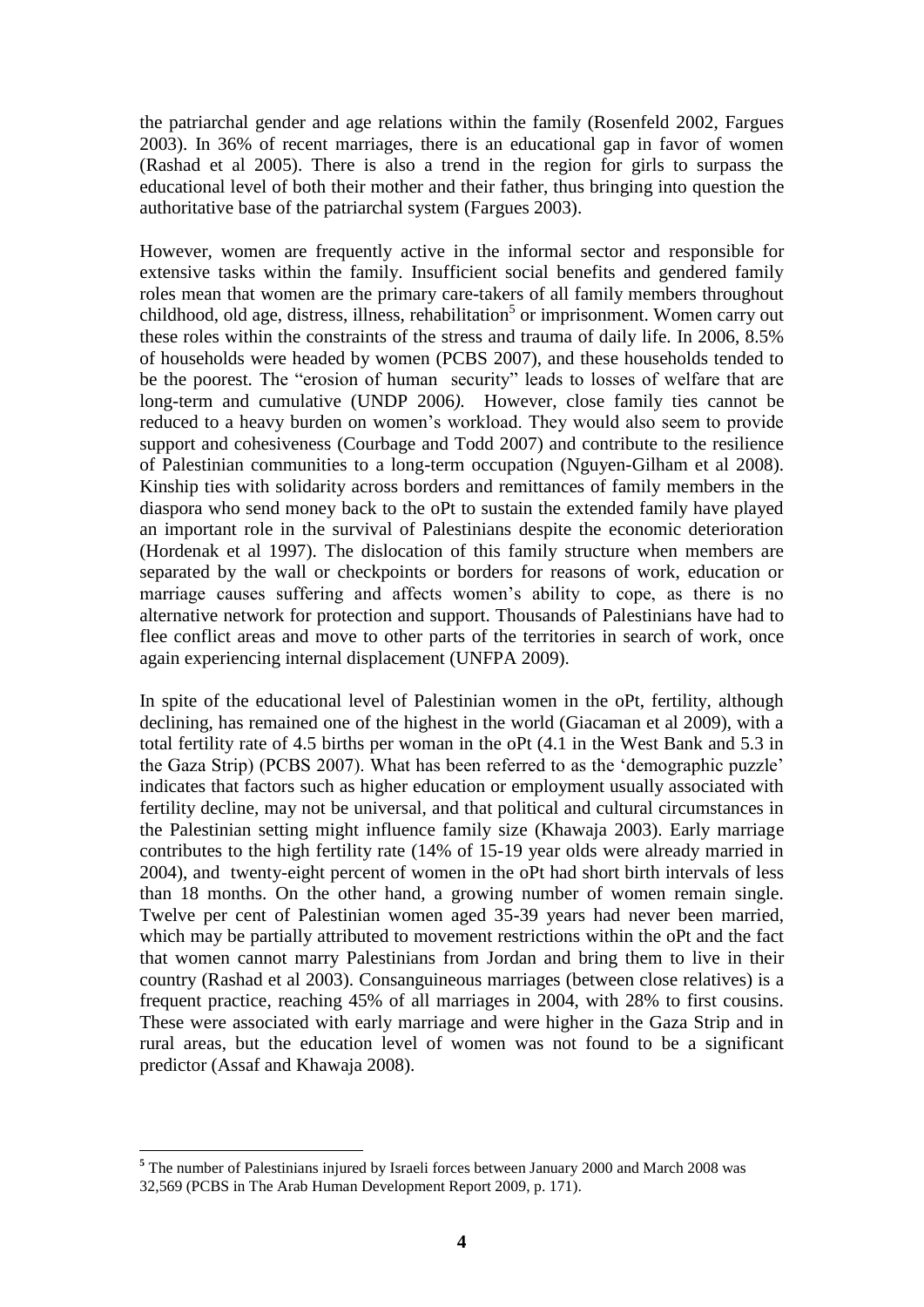the patriarchal gender and age relations within the family (Rosenfeld 2002, Fargues 2003). In 36% of recent marriages, there is an educational gap in favor of women (Rashad et al 2005). There is also a trend in the region for girls to surpass the educational level of both their mother and their father, thus bringing into question the authoritative base of the patriarchal system (Fargues 2003).

However, women are frequently active in the informal sector and responsible for extensive tasks within the family. Insufficient social benefits and gendered family roles mean that women are the primary care-takers of all family members throughout childhood, old age, distress, illness, rehabilitation<sup>5</sup> or imprisonment. Women carry out these roles within the constraints of the stress and trauma of daily life. In 2006, 8.5% of households were headed by women (PCBS 2007), and these households tended to be the poorest. The "erosion of human security" leads to losses of welfare that are long-term and cumulative (UNDP 2006*).* However, close family ties cannot be reduced to a heavy burden on women"s workload. They would also seem to provide support and cohesiveness (Courbage and Todd 2007) and contribute to the resilience of Palestinian communities to a long-term occupation (Nguyen-Gilham et al 2008). Kinship ties with solidarity across borders and remittances of family members in the diaspora who send money back to the oPt to sustain the extended family have played an important role in the survival of Palestinians despite the economic deterioration (Hordenak et al 1997). The dislocation of this family structure when members are separated by the wall or checkpoints or borders for reasons of work, education or marriage causes suffering and affects women's ability to cope, as there is no alternative network for protection and support. Thousands of Palestinians have had to flee conflict areas and move to other parts of the territories in search of work, once again experiencing internal displacement (UNFPA 2009).

In spite of the educational level of Palestinian women in the oPt, fertility, although declining, has remained one of the highest in the world (Giacaman et al 2009), with a total fertility rate of 4.5 births per woman in the oPt (4.1 in the West Bank and 5.3 in the Gaza Strip) (PCBS 2007). What has been referred to as the "demographic puzzle" indicates that factors such as higher education or employment usually associated with fertility decline, may not be universal, and that political and cultural circumstances in the Palestinian setting might influence family size (Khawaja 2003). Early marriage contributes to the high fertility rate (14% of 15-19 year olds were already married in 2004), and twenty-eight percent of women in the oPt had short birth intervals of less than 18 months. On the other hand, a growing number of women remain single. Twelve per cent of Palestinian women aged 35-39 years had never been married, which may be partially attributed to movement restrictions within the oPt and the fact that women cannot marry Palestinians from Jordan and bring them to live in their country (Rashad et al 2003). Consanguineous marriages (between close relatives) is a frequent practice, reaching 45% of all marriages in 2004, with 28% to first cousins. These were associated with early marriage and were higher in the Gaza Strip and in rural areas, but the education level of women was not found to be a significant predictor (Assaf and Khawaja 2008).

 **<sup>5</sup>** The number of Palestinians injured by Israeli forces between January 2000 and March 2008 was 32,569 (PCBS in The Arab Human Development Report 2009, p. 171).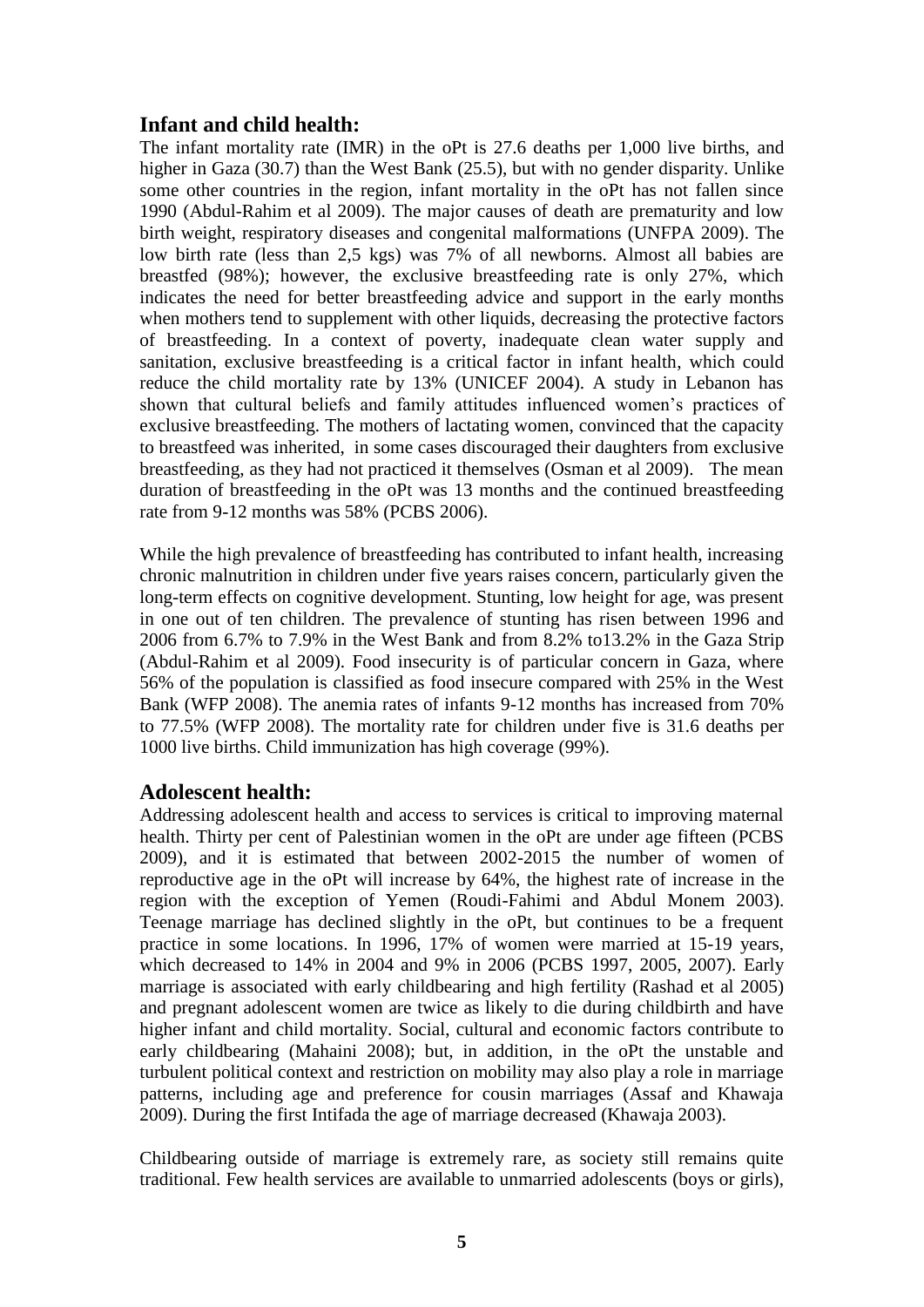## **Infant and child health:**

The infant mortality rate (IMR) in the oPt is 27.6 deaths per 1,000 live births, and higher in Gaza (30.7) than the West Bank (25.5), but with no gender disparity. Unlike some other countries in the region, infant mortality in the oPt has not fallen since 1990 (Abdul-Rahim et al 2009). The major causes of death are prematurity and low birth weight, respiratory diseases and congenital malformations (UNFPA 2009). The low birth rate (less than 2,5 kgs) was 7% of all newborns. Almost all babies are breastfed (98%); however, the exclusive breastfeeding rate is only 27%, which indicates the need for better breastfeeding advice and support in the early months when mothers tend to supplement with other liquids, decreasing the protective factors of breastfeeding. In a context of poverty, inadequate clean water supply and sanitation, exclusive breastfeeding is a critical factor in infant health, which could reduce the child mortality rate by 13% (UNICEF 2004). A study in Lebanon has shown that cultural beliefs and family attitudes influenced women"s practices of exclusive breastfeeding. The mothers of lactating women, convinced that the capacity to breastfeed was inherited, in some cases discouraged their daughters from exclusive breastfeeding, as they had not practiced it themselves (Osman et al 2009). The mean duration of breastfeeding in the oPt was 13 months and the continued breastfeeding rate from 9-12 months was 58% (PCBS 2006).

While the high prevalence of breastfeeding has contributed to infant health, increasing chronic malnutrition in children under five years raises concern, particularly given the long-term effects on cognitive development. Stunting, low height for age, was present in one out of ten children. The prevalence of stunting has risen between 1996 and 2006 from 6.7% to 7.9% in the West Bank and from 8.2% to13.2% in the Gaza Strip (Abdul-Rahim et al 2009). Food insecurity is of particular concern in Gaza, where 56% of the population is classified as food insecure compared with 25% in the West Bank (WFP 2008). The anemia rates of infants 9-12 months has increased from 70% to 77.5% (WFP 2008). The mortality rate for children under five is 31.6 deaths per 1000 live births. Child immunization has high coverage (99%).

## **Adolescent health:**

Addressing adolescent health and access to services is critical to improving maternal health. Thirty per cent of Palestinian women in the oPt are under age fifteen (PCBS 2009), and it is estimated that between 2002-2015 the number of women of reproductive age in the oPt will increase by 64%, the highest rate of increase in the region with the exception of Yemen (Roudi-Fahimi and Abdul Monem 2003). Teenage marriage has declined slightly in the oPt, but continues to be a frequent practice in some locations. In 1996, 17% of women were married at 15-19 years, which decreased to 14% in 2004 and 9% in 2006 (PCBS 1997, 2005, 2007). Early marriage is associated with early childbearing and high fertility (Rashad et al 2005) and pregnant adolescent women are twice as likely to die during childbirth and have higher infant and child mortality. Social, cultural and economic factors contribute to early childbearing (Mahaini 2008); but, in addition, in the oPt the unstable and turbulent political context and restriction on mobility may also play a role in marriage patterns, including age and preference for cousin marriages (Assaf and Khawaja 2009). During the first Intifada the age of marriage decreased (Khawaja 2003).

Childbearing outside of marriage is extremely rare, as society still remains quite traditional. Few health services are available to unmarried adolescents (boys or girls),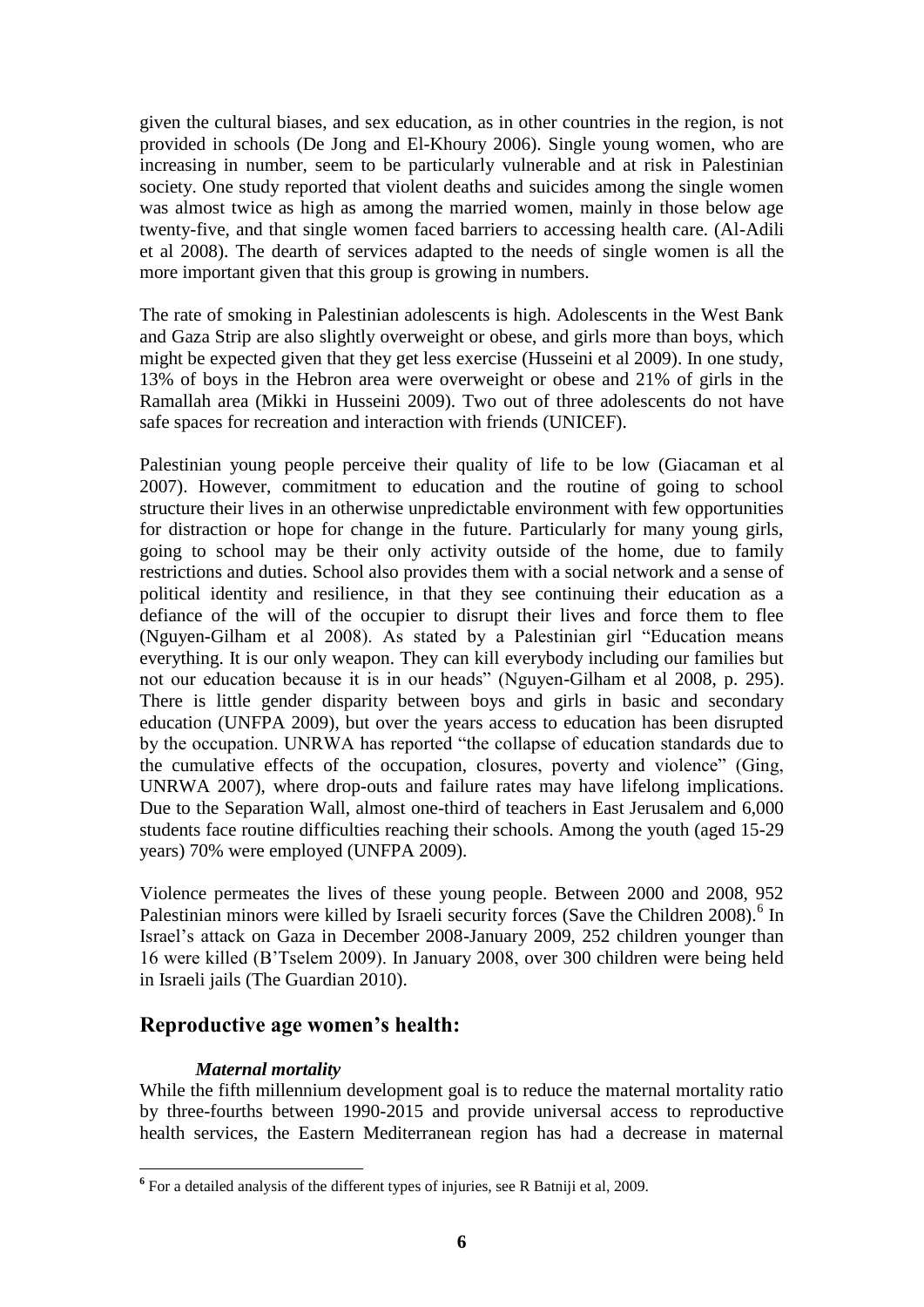given the cultural biases, and sex education, as in other countries in the region, is not provided in schools (De Jong and El-Khoury 2006). Single young women, who are increasing in number, seem to be particularly vulnerable and at risk in Palestinian society. One study reported that violent deaths and suicides among the single women was almost twice as high as among the married women, mainly in those below age twenty-five, and that single women faced barriers to accessing health care. (Al-Adili et al 2008). The dearth of services adapted to the needs of single women is all the more important given that this group is growing in numbers.

The rate of smoking in Palestinian adolescents is high. Adolescents in the West Bank and Gaza Strip are also slightly overweight or obese, and girls more than boys, which might be expected given that they get less exercise (Husseini et al 2009). In one study, 13% of boys in the Hebron area were overweight or obese and 21% of girls in the Ramallah area (Mikki in Husseini 2009). Two out of three adolescents do not have safe spaces for recreation and interaction with friends (UNICEF).

Palestinian young people perceive their quality of life to be low (Giacaman et al 2007). However, commitment to education and the routine of going to school structure their lives in an otherwise unpredictable environment with few opportunities for distraction or hope for change in the future. Particularly for many young girls, going to school may be their only activity outside of the home, due to family restrictions and duties. School also provides them with a social network and a sense of political identity and resilience, in that they see continuing their education as a defiance of the will of the occupier to disrupt their lives and force them to flee (Nguyen-Gilham et al 2008). As stated by a Palestinian girl "Education means everything. It is our only weapon. They can kill everybody including our families but not our education because it is in our heads" (Nguyen-Gilham et al 2008, p. 295). There is little gender disparity between boys and girls in basic and secondary education (UNFPA 2009), but over the years access to education has been disrupted by the occupation. UNRWA has reported "the collapse of education standards due to the cumulative effects of the occupation, closures, poverty and violence" (Ging, UNRWA 2007), where drop-outs and failure rates may have lifelong implications. Due to the Separation Wall, almost one-third of teachers in East Jerusalem and 6,000 students face routine difficulties reaching their schools. Among the youth (aged 15-29 years) 70% were employed (UNFPA 2009).

Violence permeates the lives of these young people. Between 2000 and 2008, 952 Palestinian minors were killed by Israeli security forces (Save the Children 2008).<sup>6</sup> In Israel"s attack on Gaza in December 2008-January 2009, 252 children younger than 16 were killed (B"Tselem 2009). In January 2008, over 300 children were being held in Israeli jails (The Guardian 2010).

## **Reproductive age women's health:**

#### *Maternal mortality*

While the fifth millennium development goal is to reduce the maternal mortality ratio by three-fourths between 1990-2015 and provide universal access to reproductive health services, the Eastern Mediterranean region has had a decrease in maternal

**<sup>&</sup>lt;sup>6</sup>** For a detailed analysis of the different types of injuries, see R Batniji et al, 2009.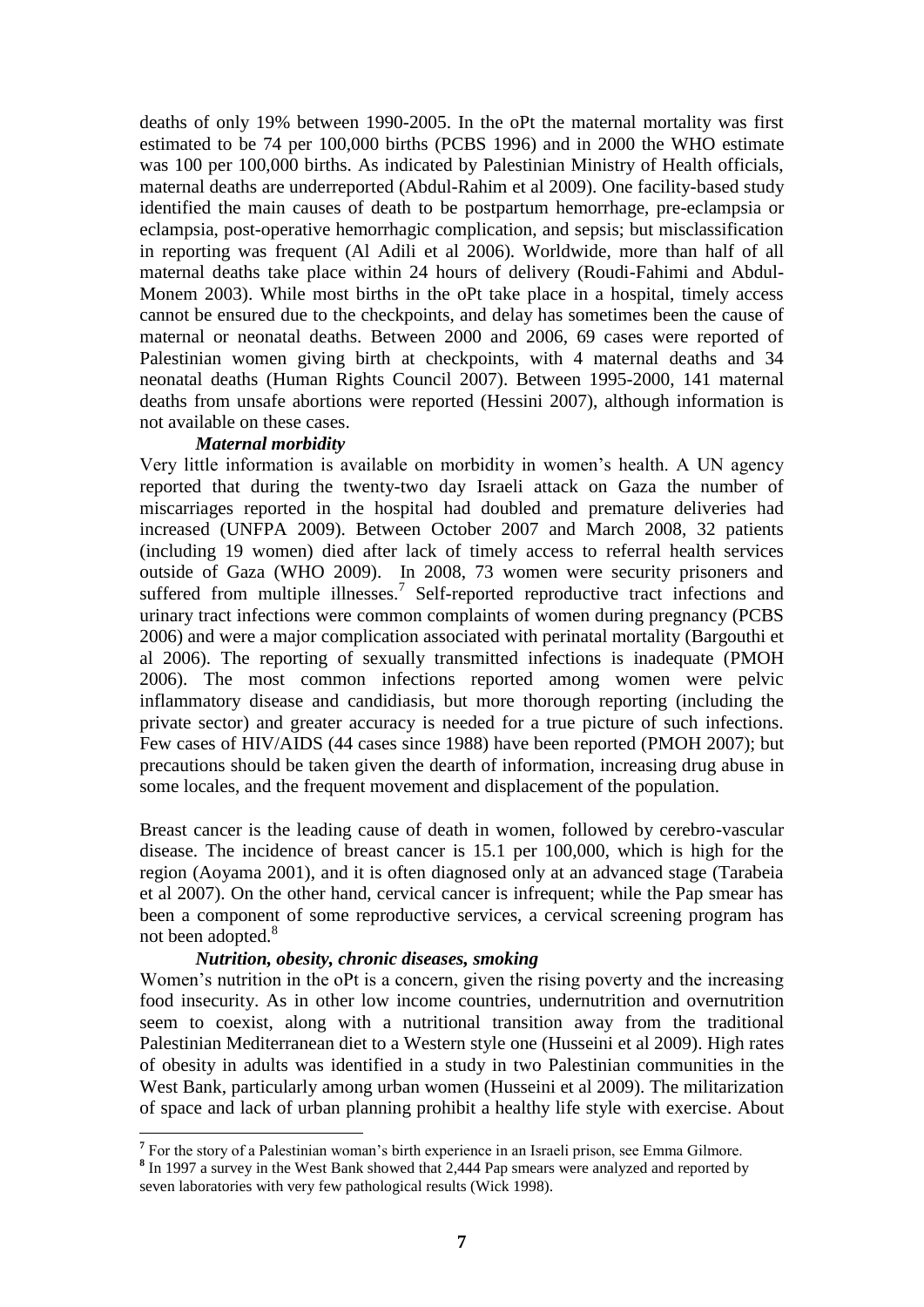deaths of only 19% between 1990-2005. In the oPt the maternal mortality was first estimated to be 74 per 100,000 births (PCBS 1996) and in 2000 the WHO estimate was 100 per 100,000 births. As indicated by Palestinian Ministry of Health officials, maternal deaths are underreported (Abdul-Rahim et al 2009). One facility-based study identified the main causes of death to be postpartum hemorrhage, pre-eclampsia or eclampsia, post-operative hemorrhagic complication, and sepsis; but misclassification in reporting was frequent (Al Adili et al 2006). Worldwide, more than half of all maternal deaths take place within 24 hours of delivery (Roudi-Fahimi and Abdul-Monem 2003). While most births in the oPt take place in a hospital, timely access cannot be ensured due to the checkpoints, and delay has sometimes been the cause of maternal or neonatal deaths. Between 2000 and 2006, 69 cases were reported of Palestinian women giving birth at checkpoints, with 4 maternal deaths and 34 neonatal deaths (Human Rights Council 2007). Between 1995-2000, 141 maternal deaths from unsafe abortions were reported (Hessini 2007), although information is not available on these cases.

#### *Maternal morbidity*

Very little information is available on morbidity in women"s health. A UN agency reported that during the twenty-two day Israeli attack on Gaza the number of miscarriages reported in the hospital had doubled and premature deliveries had increased (UNFPA 2009). Between October 2007 and March 2008, 32 patients (including 19 women) died after lack of timely access to referral health services outside of Gaza (WHO 2009). In 2008, 73 women were security prisoners and suffered from multiple illnesses.<sup>7</sup> Self-reported reproductive tract infections and urinary tract infections were common complaints of women during pregnancy (PCBS 2006) and were a major complication associated with perinatal mortality (Bargouthi et al 2006). The reporting of sexually transmitted infections is inadequate (PMOH 2006). The most common infections reported among women were pelvic inflammatory disease and candidiasis, but more thorough reporting (including the private sector) and greater accuracy is needed for a true picture of such infections. Few cases of HIV/AIDS (44 cases since 1988) have been reported (PMOH 2007); but precautions should be taken given the dearth of information, increasing drug abuse in some locales, and the frequent movement and displacement of the population.

Breast cancer is the leading cause of death in women, followed by cerebro-vascular disease. The incidence of breast cancer is 15.1 per 100,000, which is high for the region (Aoyama 2001), and it is often diagnosed only at an advanced stage (Tarabeia et al 2007). On the other hand, cervical cancer is infrequent; while the Pap smear has been a component of some reproductive services, a cervical screening program has not been adopted.<sup>8</sup>

#### *Nutrition, obesity, chronic diseases, smoking*

Women's nutrition in the oPt is a concern, given the rising poverty and the increasing food insecurity. As in other low income countries, undernutrition and overnutrition seem to coexist, along with a nutritional transition away from the traditional Palestinian Mediterranean diet to a Western style one (Husseini et al 2009). High rates of obesity in adults was identified in a study in two Palestinian communities in the West Bank, particularly among urban women (Husseini et al 2009). The militarization of space and lack of urban planning prohibit a healthy life style with exercise. About

**T**<br> **7** For the story of a Palestinian woman's birth experience in an Israeli prison, see Emma Gilmore.

<sup>&</sup>lt;sup>8</sup> In 1997 a survey in the West Bank showed that 2,444 Pap smears were analyzed and reported by seven laboratories with very few pathological results (Wick 1998).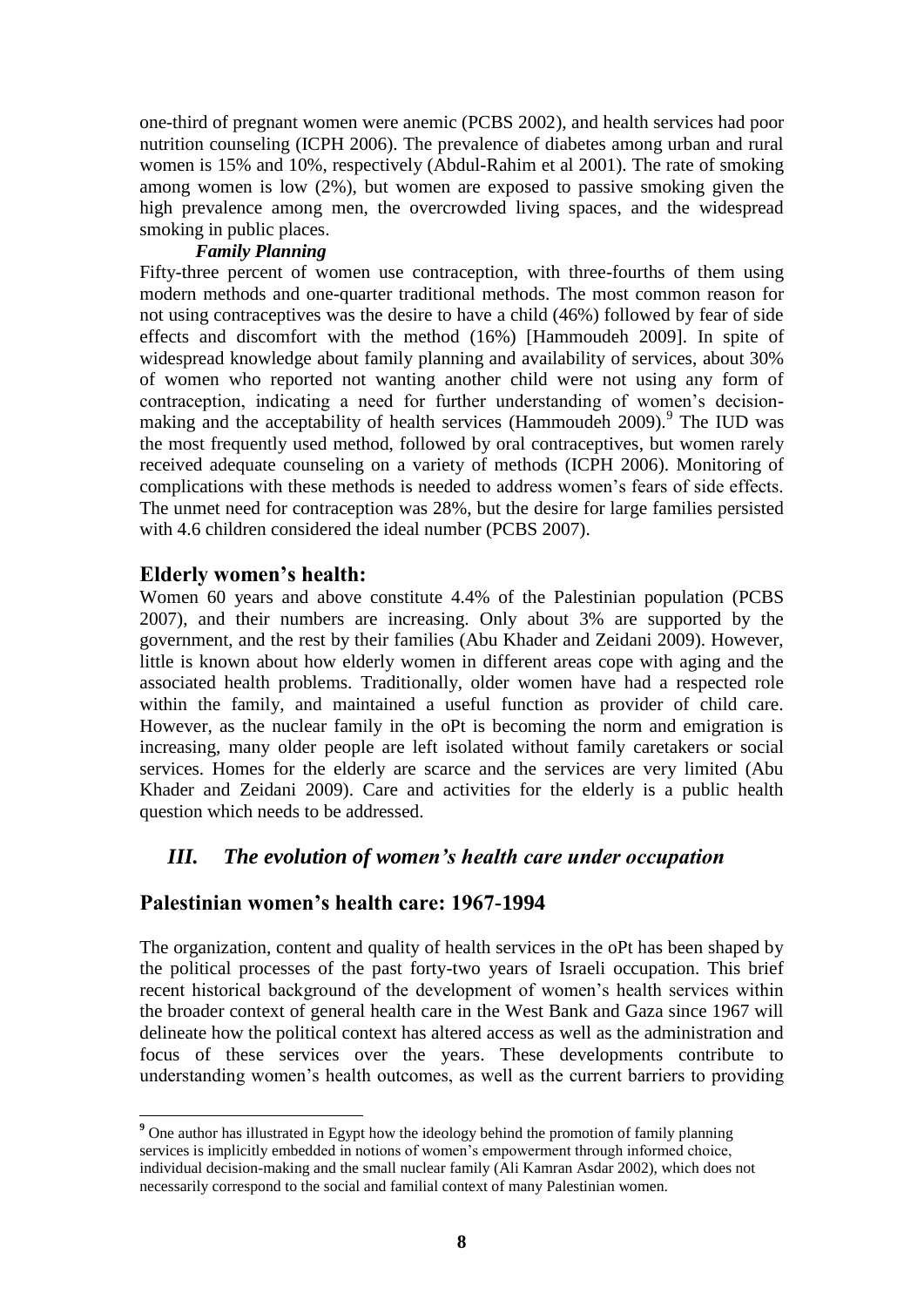one-third of pregnant women were anemic (PCBS 2002), and health services had poor nutrition counseling (ICPH 2006). The prevalence of diabetes among urban and rural women is 15% and 10%, respectively (Abdul-Rahim et al 2001). The rate of smoking among women is low (2%), but women are exposed to passive smoking given the high prevalence among men, the overcrowded living spaces, and the widespread smoking in public places.

### *Family Planning*

Fifty-three percent of women use contraception, with three-fourths of them using modern methods and one-quarter traditional methods. The most common reason for not using contraceptives was the desire to have a child (46%) followed by fear of side effects and discomfort with the method (16%) [Hammoudeh 2009]. In spite of widespread knowledge about family planning and availability of services, about 30% of women who reported not wanting another child were not using any form of contraception, indicating a need for further understanding of women"s decisionmaking and the acceptability of health services (Hammoudeh 2009).<sup>9</sup> The IUD was the most frequently used method, followed by oral contraceptives, but women rarely received adequate counseling on a variety of methods (ICPH 2006). Monitoring of complications with these methods is needed to address women"s fears of side effects. The unmet need for contraception was 28%, but the desire for large families persisted with 4.6 children considered the ideal number (PCBS 2007).

## **Elderly women's health:**

Women 60 years and above constitute 4.4% of the Palestinian population (PCBS 2007), and their numbers are increasing. Only about 3% are supported by the government, and the rest by their families (Abu Khader and Zeidani 2009). However, little is known about how elderly women in different areas cope with aging and the associated health problems. Traditionally, older women have had a respected role within the family, and maintained a useful function as provider of child care. However, as the nuclear family in the oPt is becoming the norm and emigration is increasing, many older people are left isolated without family caretakers or social services. Homes for the elderly are scarce and the services are very limited (Abu Khader and Zeidani 2009). Care and activities for the elderly is a public health question which needs to be addressed.

## *III. The evolution of women's health care under occupation*

## **Palestinian women's health care: 1967-1994**

The organization, content and quality of health services in the oPt has been shaped by the political processes of the past forty-two years of Israeli occupation. This brief recent historical background of the development of women"s health services within the broader context of general health care in the West Bank and Gaza since 1967 will delineate how the political context has altered access as well as the administration and focus of these services over the years. These developments contribute to understanding women"s health outcomes, as well as the current barriers to providing

**<sup>9</sup>** One author has illustrated in Egypt how the ideology behind the promotion of family planning services is implicitly embedded in notions of women"s empowerment through informed choice, individual decision-making and the small nuclear family (Ali Kamran Asdar 2002), which does not necessarily correspond to the social and familial context of many Palestinian women.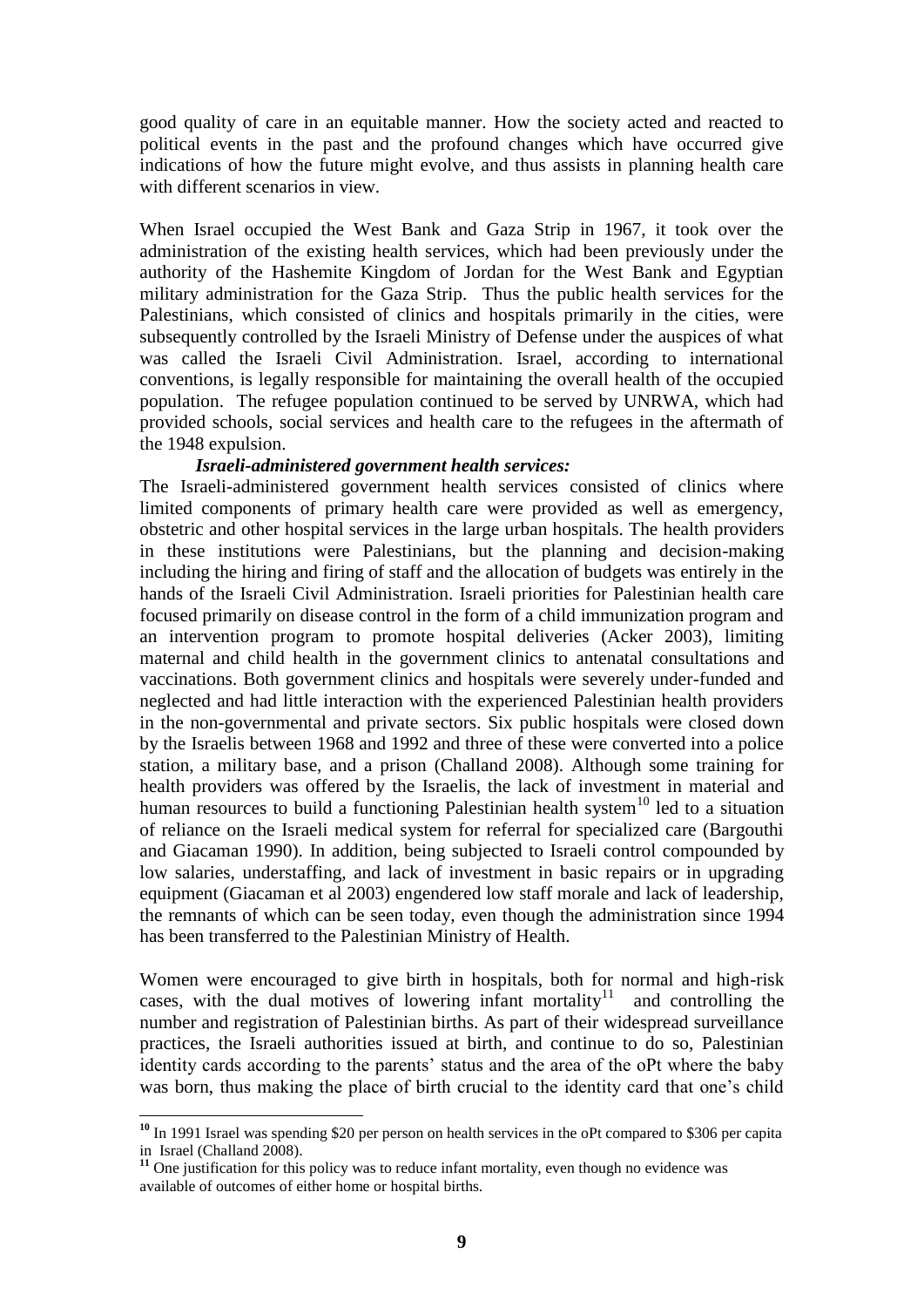good quality of care in an equitable manner. How the society acted and reacted to political events in the past and the profound changes which have occurred give indications of how the future might evolve, and thus assists in planning health care with different scenarios in view.

When Israel occupied the West Bank and Gaza Strip in 1967, it took over the administration of the existing health services, which had been previously under the authority of the Hashemite Kingdom of Jordan for the West Bank and Egyptian military administration for the Gaza Strip. Thus the public health services for the Palestinians, which consisted of clinics and hospitals primarily in the cities, were subsequently controlled by the Israeli Ministry of Defense under the auspices of what was called the Israeli Civil Administration. Israel, according to international conventions, is legally responsible for maintaining the overall health of the occupied population. The refugee population continued to be served by UNRWA, which had provided schools, social services and health care to the refugees in the aftermath of the 1948 expulsion.

#### *Israeli-administered government health services:*

The Israeli-administered government health services consisted of clinics where limited components of primary health care were provided as well as emergency, obstetric and other hospital services in the large urban hospitals. The health providers in these institutions were Palestinians, but the planning and decision-making including the hiring and firing of staff and the allocation of budgets was entirely in the hands of the Israeli Civil Administration. Israeli priorities for Palestinian health care focused primarily on disease control in the form of a child immunization program and an intervention program to promote hospital deliveries (Acker 2003), limiting maternal and child health in the government clinics to antenatal consultations and vaccinations. Both government clinics and hospitals were severely under-funded and neglected and had little interaction with the experienced Palestinian health providers in the non-governmental and private sectors. Six public hospitals were closed down by the Israelis between 1968 and 1992 and three of these were converted into a police station, a military base, and a prison (Challand 2008). Although some training for health providers was offered by the Israelis, the lack of investment in material and human resources to build a functioning Palestinian health system<sup>10</sup> led to a situation of reliance on the Israeli medical system for referral for specialized care (Bargouthi and Giacaman 1990). In addition, being subjected to Israeli control compounded by low salaries, understaffing, and lack of investment in basic repairs or in upgrading equipment (Giacaman et al 2003) engendered low staff morale and lack of leadership, the remnants of which can be seen today, even though the administration since 1994 has been transferred to the Palestinian Ministry of Health.

Women were encouraged to give birth in hospitals, both for normal and high-risk cases, with the dual motives of lowering infant mortality<sup>11</sup> and controlling the number and registration of Palestinian births. As part of their widespread surveillance practices, the Israeli authorities issued at birth, and continue to do so, Palestinian identity cards according to the parents' status and the area of the oPt where the baby was born, thus making the place of birth crucial to the identity card that one's child

**<sup>10</sup>** In 1991 Israel was spending \$20 per person on health services in the oPt compared to \$306 per capita in Israel (Challand 2008).

<sup>&</sup>lt;sup>11</sup> One justification for this policy was to reduce infant mortality, even though no evidence was available of outcomes of either home or hospital births.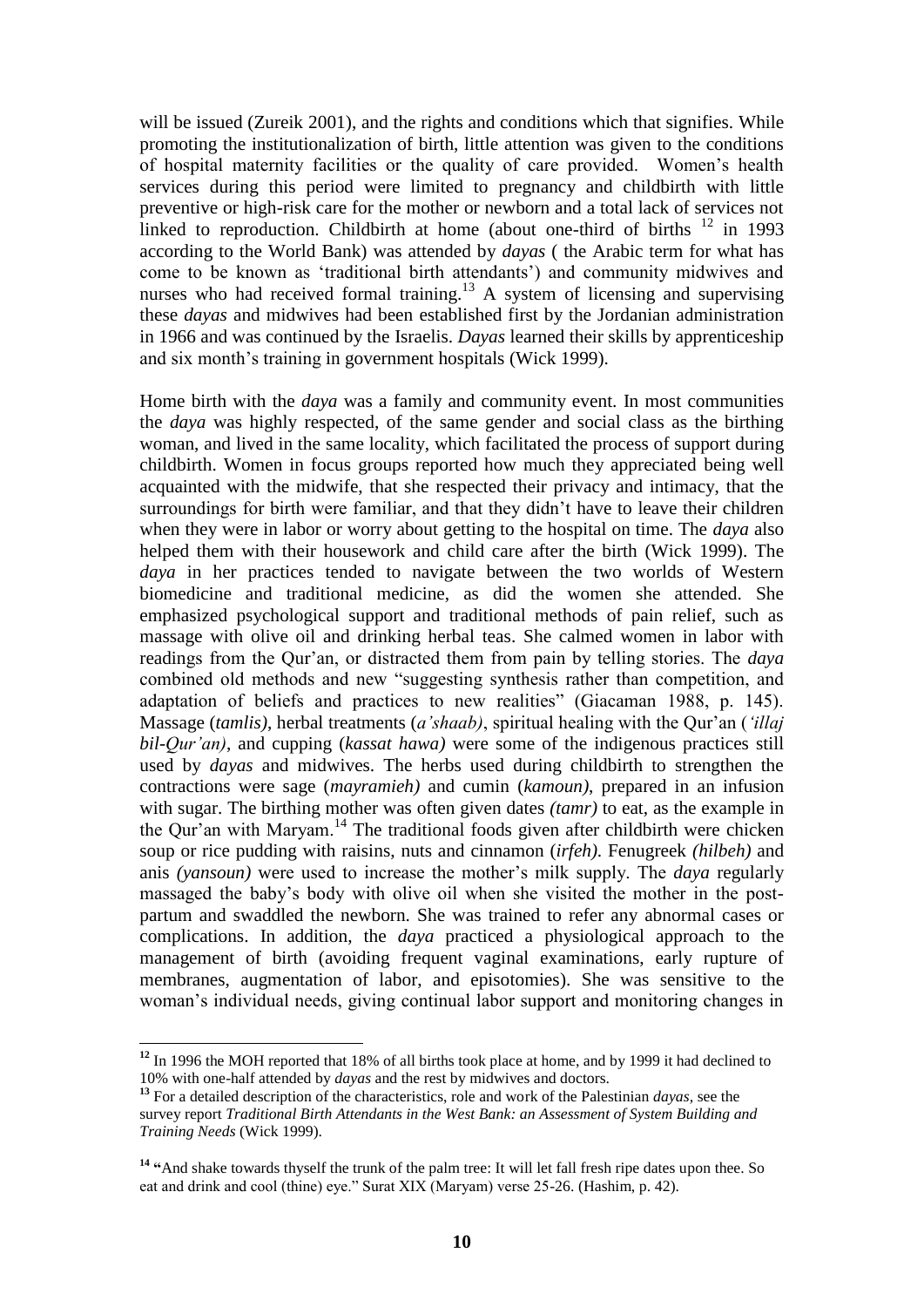will be issued (Zureik 2001), and the rights and conditions which that signifies. While promoting the institutionalization of birth, little attention was given to the conditions of hospital maternity facilities or the quality of care provided. Women"s health services during this period were limited to pregnancy and childbirth with little preventive or high-risk care for the mother or newborn and a total lack of services not linked to reproduction. Childbirth at home (about one-third of births  $12$  in 1993 according to the World Bank) was attended by *dayas* ( the Arabic term for what has come to be known as "traditional birth attendants") and community midwives and nurses who had received formal training.<sup>13</sup> A system of licensing and supervising these *dayas* and midwives had been established first by the Jordanian administration in 1966 and was continued by the Israelis. *Dayas* learned their skills by apprenticeship and six month's training in government hospitals (Wick 1999).

Home birth with the *daya* was a family and community event. In most communities the *daya* was highly respected, of the same gender and social class as the birthing woman, and lived in the same locality, which facilitated the process of support during childbirth. Women in focus groups reported how much they appreciated being well acquainted with the midwife, that she respected their privacy and intimacy, that the surroundings for birth were familiar, and that they didn"t have to leave their children when they were in labor or worry about getting to the hospital on time. The *daya* also helped them with their housework and child care after the birth (Wick 1999). The *daya* in her practices tended to navigate between the two worlds of Western biomedicine and traditional medicine, as did the women she attended. She emphasized psychological support and traditional methods of pain relief, such as massage with olive oil and drinking herbal teas. She calmed women in labor with readings from the Qur"an, or distracted them from pain by telling stories. The *daya* combined old methods and new "suggesting synthesis rather than competition, and adaptation of beliefs and practices to new realities" (Giacaman 1988, p. 145). Massage (*tamlis)*, herbal treatments (*a'shaab)*, spiritual healing with the Qur"an (*'illaj bil-Qur'an)*, and cupping (*kassat hawa)* were some of the indigenous practices still used by *dayas* and midwives. The herbs used during childbirth to strengthen the contractions were sage (*mayramieh)* and cumin (*kamoun)*, prepared in an infusion with sugar. The birthing mother was often given dates *(tamr)* to eat, as the example in the Qur'an with Maryam.<sup>14</sup> The traditional foods given after childbirth were chicken soup or rice pudding with raisins, nuts and cinnamon (*irfeh)*. Fenugreek *(hilbeh)* and anis *(yansoun)* were used to increase the mother's milk supply. The *daya* regularly massaged the baby"s body with olive oil when she visited the mother in the postpartum and swaddled the newborn. She was trained to refer any abnormal cases or complications. In addition, the *daya* practiced a physiological approach to the management of birth (avoiding frequent vaginal examinations, early rupture of membranes, augmentation of labor, and episotomies). She was sensitive to the woman"s individual needs, giving continual labor support and monitoring changes in

**<sup>12</sup>** In 1996 the MOH reported that 18% of all births took place at home, and by 1999 it had declined to 10% with one-half attended by *dayas* and the rest by midwives and doctors.

**<sup>13</sup>** For a detailed description of the characteristics, role and work of the Palestinian *dayas,* see the survey report *Traditional Birth Attendants in the West Bank: an Assessment of System Building and Training Needs* (Wick 1999).

**<sup>14</sup> "**And shake towards thyself the trunk of the palm tree: It will let fall fresh ripe dates upon thee. So eat and drink and cool (thine) eye." Surat XIX (Maryam) verse 25-26. (Hashim, p. 42).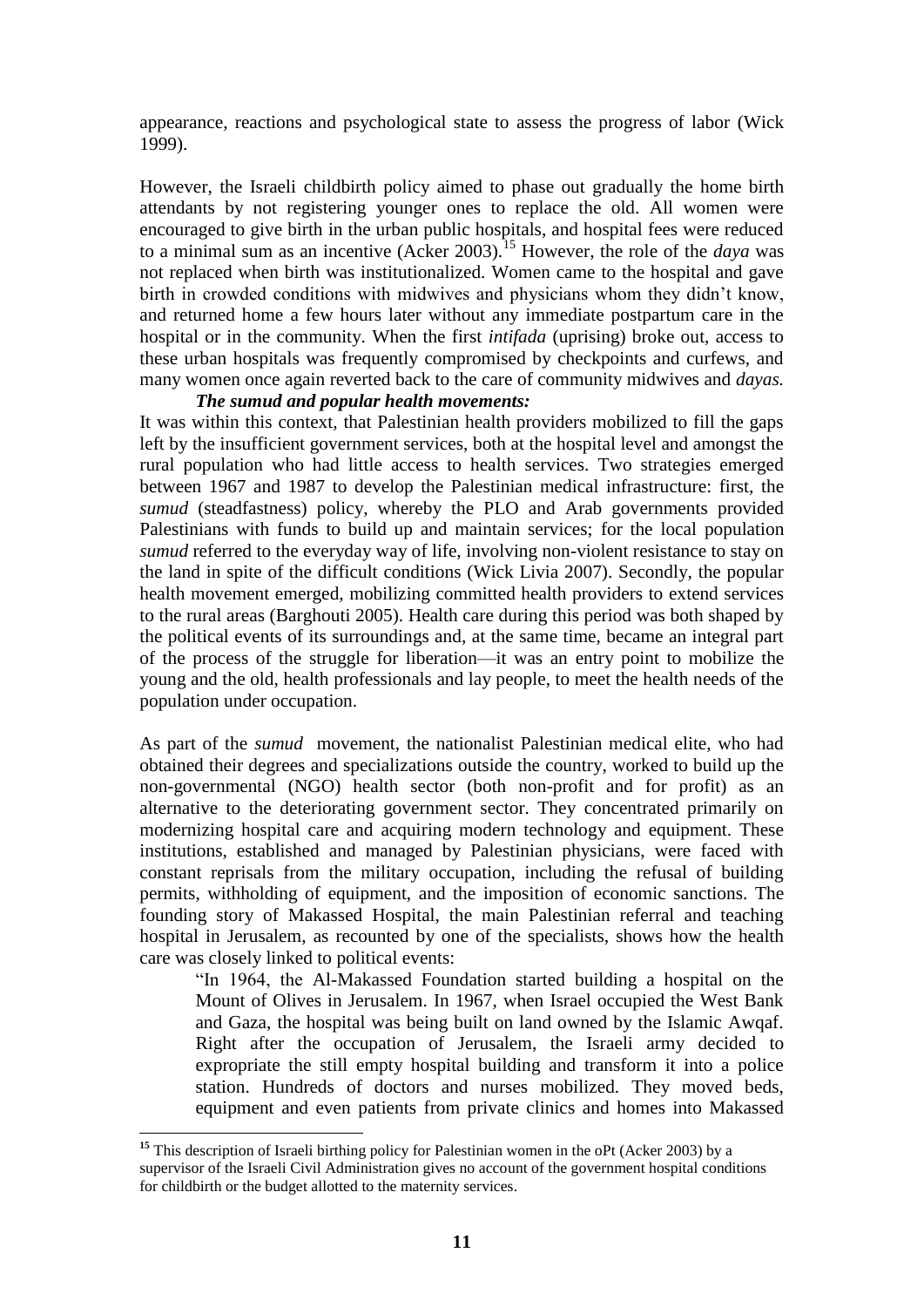appearance, reactions and psychological state to assess the progress of labor (Wick 1999).

However, the Israeli childbirth policy aimed to phase out gradually the home birth attendants by not registering younger ones to replace the old. All women were encouraged to give birth in the urban public hospitals, and hospital fees were reduced to a minimal sum as an incentive (Acker 2003).<sup>15</sup> However, the role of the *daya* was not replaced when birth was institutionalized. Women came to the hospital and gave birth in crowded conditions with midwives and physicians whom they didn"t know, and returned home a few hours later without any immediate postpartum care in the hospital or in the community. When the first *intifada* (uprising) broke out, access to these urban hospitals was frequently compromised by checkpoints and curfews, and many women once again reverted back to the care of community midwives and *dayas.*

#### *The sumud and popular health movements:*

It was within this context, that Palestinian health providers mobilized to fill the gaps left by the insufficient government services, both at the hospital level and amongst the rural population who had little access to health services. Two strategies emerged between 1967 and 1987 to develop the Palestinian medical infrastructure: first, the *sumud* (steadfastness) policy, whereby the PLO and Arab governments provided Palestinians with funds to build up and maintain services; for the local population *sumud* referred to the everyday way of life, involving non-violent resistance to stay on the land in spite of the difficult conditions (Wick Livia 2007). Secondly, the popular health movement emerged, mobilizing committed health providers to extend services to the rural areas (Barghouti 2005). Health care during this period was both shaped by the political events of its surroundings and, at the same time, became an integral part of the process of the struggle for liberation—it was an entry point to mobilize the young and the old, health professionals and lay people, to meet the health needs of the population under occupation.

As part of the *sumud* movement, the nationalist Palestinian medical elite, who had obtained their degrees and specializations outside the country, worked to build up the non-governmental (NGO) health sector (both non-profit and for profit) as an alternative to the deteriorating government sector. They concentrated primarily on modernizing hospital care and acquiring modern technology and equipment. These institutions, established and managed by Palestinian physicians, were faced with constant reprisals from the military occupation, including the refusal of building permits, withholding of equipment, and the imposition of economic sanctions. The founding story of Makassed Hospital, the main Palestinian referral and teaching hospital in Jerusalem, as recounted by one of the specialists, shows how the health care was closely linked to political events:

"In 1964, the Al-Makassed Foundation started building a hospital on the Mount of Olives in Jerusalem. In 1967, when Israel occupied the West Bank and Gaza, the hospital was being built on land owned by the Islamic Awqaf. Right after the occupation of Jerusalem, the Israeli army decided to expropriate the still empty hospital building and transform it into a police station. Hundreds of doctors and nurses mobilized. They moved beds, equipment and even patients from private clinics and homes into Makassed

<sup>&</sup>lt;sup>15</sup> This description of Israeli birthing policy for Palestinian women in the oPt (Acker 2003) by a supervisor of the Israeli Civil Administration gives no account of the government hospital conditions for childbirth or the budget allotted to the maternity services.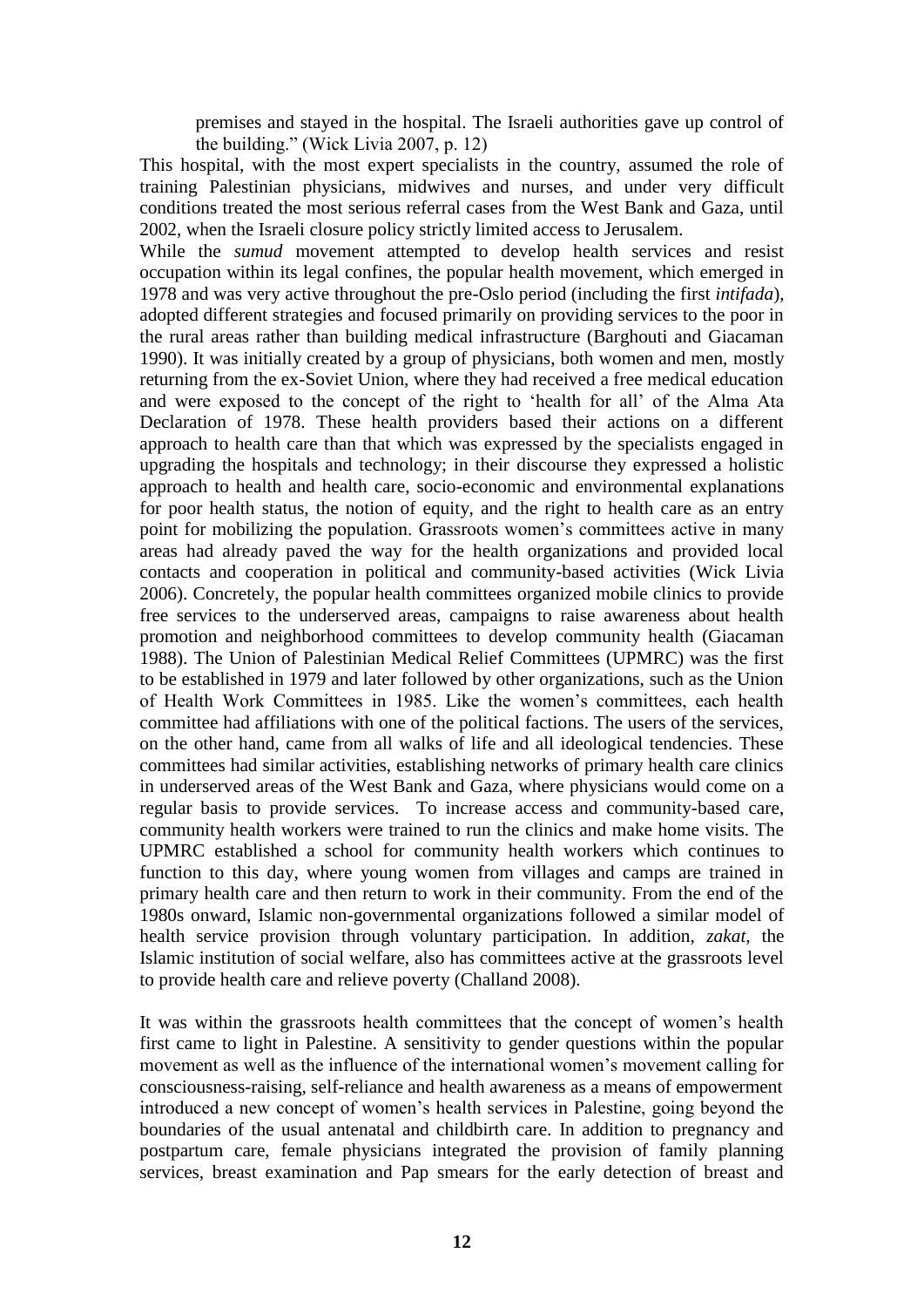premises and stayed in the hospital. The Israeli authorities gave up control of the building." (Wick Livia 2007, p. 12)

This hospital, with the most expert specialists in the country, assumed the role of training Palestinian physicians, midwives and nurses, and under very difficult conditions treated the most serious referral cases from the West Bank and Gaza, until 2002, when the Israeli closure policy strictly limited access to Jerusalem.

While the *sumud* movement attempted to develop health services and resist occupation within its legal confines, the popular health movement, which emerged in 1978 and was very active throughout the pre-Oslo period (including the first *intifada*), adopted different strategies and focused primarily on providing services to the poor in the rural areas rather than building medical infrastructure (Barghouti and Giacaman 1990). It was initially created by a group of physicians, both women and men, mostly returning from the ex-Soviet Union, where they had received a free medical education and were exposed to the concept of the right to "health for all" of the Alma Ata Declaration of 1978. These health providers based their actions on a different approach to health care than that which was expressed by the specialists engaged in upgrading the hospitals and technology; in their discourse they expressed a holistic approach to health and health care, socio-economic and environmental explanations for poor health status, the notion of equity, and the right to health care as an entry point for mobilizing the population. Grassroots women"s committees active in many areas had already paved the way for the health organizations and provided local contacts and cooperation in political and community-based activities (Wick Livia 2006). Concretely, the popular health committees organized mobile clinics to provide free services to the underserved areas, campaigns to raise awareness about health promotion and neighborhood committees to develop community health (Giacaman 1988). The Union of Palestinian Medical Relief Committees (UPMRC) was the first to be established in 1979 and later followed by other organizations, such as the Union of Health Work Committees in 1985. Like the women"s committees, each health committee had affiliations with one of the political factions. The users of the services, on the other hand, came from all walks of life and all ideological tendencies. These committees had similar activities, establishing networks of primary health care clinics in underserved areas of the West Bank and Gaza, where physicians would come on a regular basis to provide services. To increase access and community-based care, community health workers were trained to run the clinics and make home visits. The UPMRC established a school for community health workers which continues to function to this day, where young women from villages and camps are trained in primary health care and then return to work in their community. From the end of the 1980s onward, Islamic non-governmental organizations followed a similar model of health service provision through voluntary participation. In addition, *zakat,* the Islamic institution of social welfare, also has committees active at the grassroots level to provide health care and relieve poverty (Challand 2008).

It was within the grassroots health committees that the concept of women"s health first came to light in Palestine. A sensitivity to gender questions within the popular movement as well as the influence of the international women"s movement calling for consciousness-raising, self-reliance and health awareness as a means of empowerment introduced a new concept of women"s health services in Palestine, going beyond the boundaries of the usual antenatal and childbirth care. In addition to pregnancy and postpartum care, female physicians integrated the provision of family planning services, breast examination and Pap smears for the early detection of breast and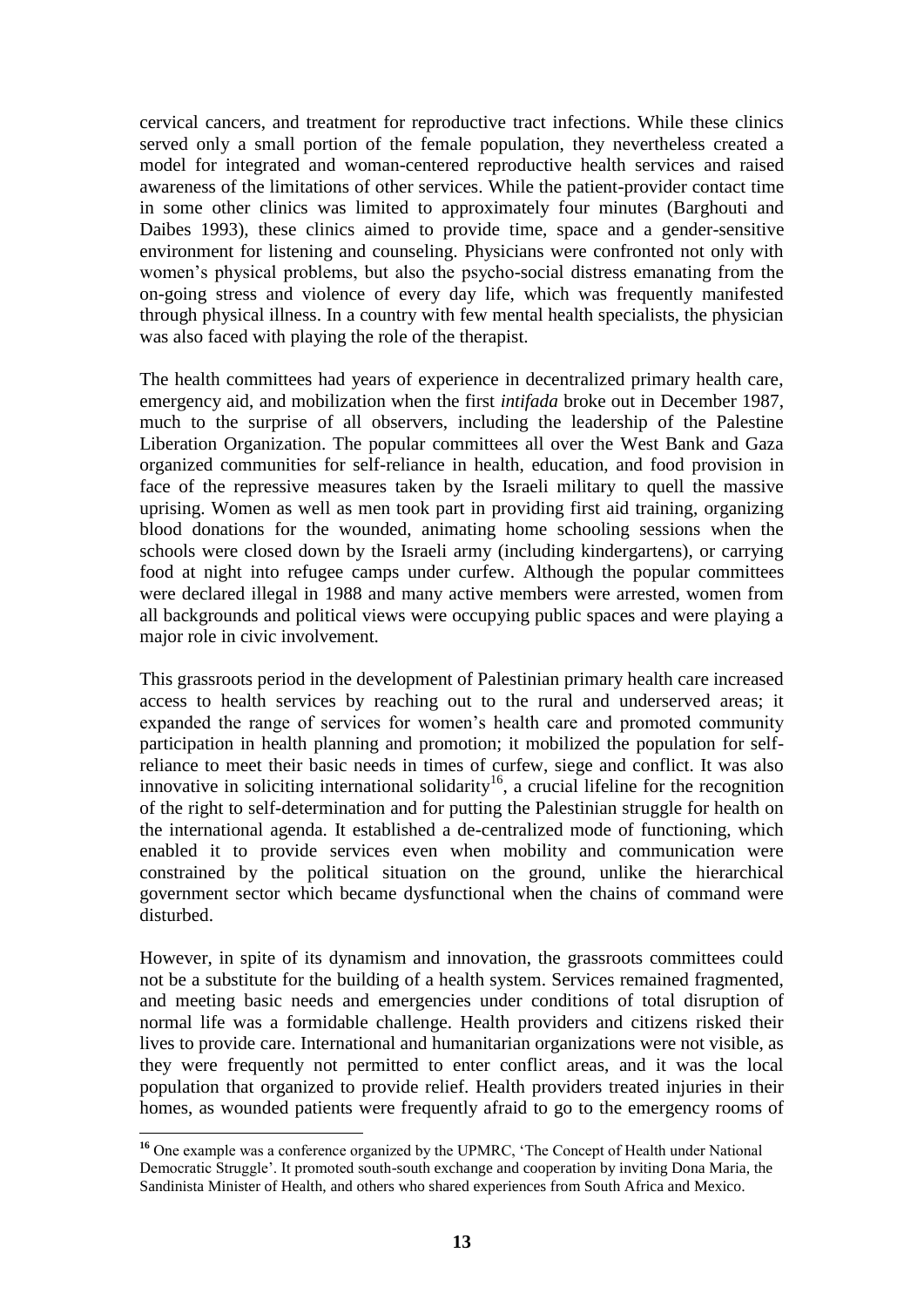cervical cancers, and treatment for reproductive tract infections. While these clinics served only a small portion of the female population, they nevertheless created a model for integrated and woman-centered reproductive health services and raised awareness of the limitations of other services. While the patient-provider contact time in some other clinics was limited to approximately four minutes (Barghouti and Daibes 1993), these clinics aimed to provide time, space and a gender-sensitive environment for listening and counseling. Physicians were confronted not only with women"s physical problems, but also the psycho-social distress emanating from the on-going stress and violence of every day life, which was frequently manifested through physical illness. In a country with few mental health specialists, the physician was also faced with playing the role of the therapist.

The health committees had years of experience in decentralized primary health care, emergency aid, and mobilization when the first *intifada* broke out in December 1987, much to the surprise of all observers, including the leadership of the Palestine Liberation Organization. The popular committees all over the West Bank and Gaza organized communities for self-reliance in health, education, and food provision in face of the repressive measures taken by the Israeli military to quell the massive uprising. Women as well as men took part in providing first aid training, organizing blood donations for the wounded, animating home schooling sessions when the schools were closed down by the Israeli army (including kindergartens), or carrying food at night into refugee camps under curfew. Although the popular committees were declared illegal in 1988 and many active members were arrested, women from all backgrounds and political views were occupying public spaces and were playing a major role in civic involvement.

This grassroots period in the development of Palestinian primary health care increased access to health services by reaching out to the rural and underserved areas; it expanded the range of services for women"s health care and promoted community participation in health planning and promotion; it mobilized the population for selfreliance to meet their basic needs in times of curfew, siege and conflict. It was also innovative in soliciting international solidarity<sup>16</sup>, a crucial lifeline for the recognition of the right to self-determination and for putting the Palestinian struggle for health on the international agenda. It established a de-centralized mode of functioning, which enabled it to provide services even when mobility and communication were constrained by the political situation on the ground, unlike the hierarchical government sector which became dysfunctional when the chains of command were disturbed.

However, in spite of its dynamism and innovation, the grassroots committees could not be a substitute for the building of a health system. Services remained fragmented, and meeting basic needs and emergencies under conditions of total disruption of normal life was a formidable challenge. Health providers and citizens risked their lives to provide care. International and humanitarian organizations were not visible, as they were frequently not permitted to enter conflict areas, and it was the local population that organized to provide relief. Health providers treated injuries in their homes, as wounded patients were frequently afraid to go to the emergency rooms of

 **<sup>16</sup>** One example was a conference organized by the UPMRC, "The Concept of Health under National Democratic Struggle'. It promoted south-south exchange and cooperation by inviting Dona Maria, the Sandinista Minister of Health, and others who shared experiences from South Africa and Mexico.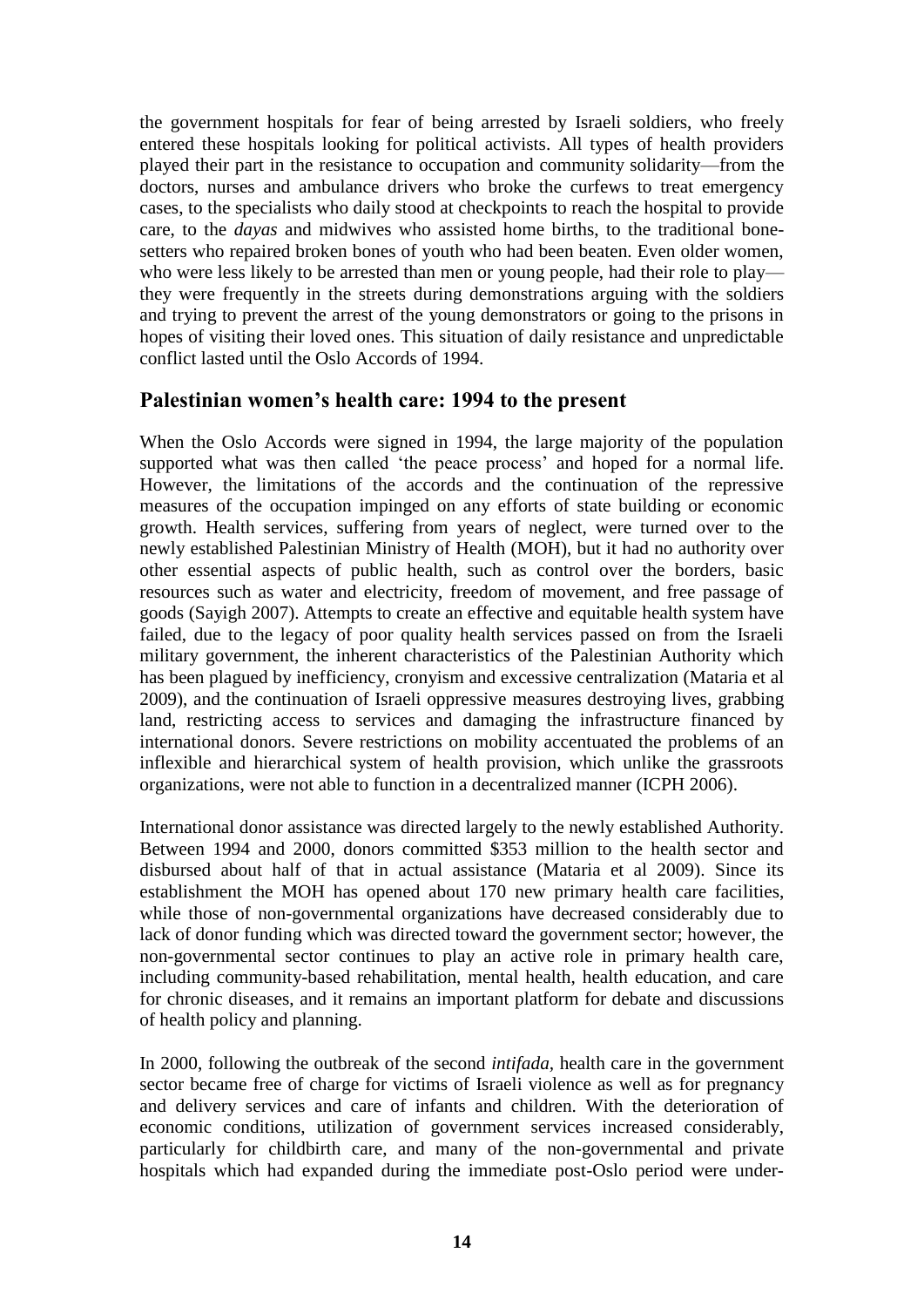the government hospitals for fear of being arrested by Israeli soldiers, who freely entered these hospitals looking for political activists. All types of health providers played their part in the resistance to occupation and community solidarity—from the doctors, nurses and ambulance drivers who broke the curfews to treat emergency cases, to the specialists who daily stood at checkpoints to reach the hospital to provide care, to the *dayas* and midwives who assisted home births, to the traditional bonesetters who repaired broken bones of youth who had been beaten. Even older women, who were less likely to be arrested than men or young people, had their role to play they were frequently in the streets during demonstrations arguing with the soldiers and trying to prevent the arrest of the young demonstrators or going to the prisons in hopes of visiting their loved ones. This situation of daily resistance and unpredictable conflict lasted until the Oslo Accords of 1994.

## **Palestinian women's health care: 1994 to the present**

When the Oslo Accords were signed in 1994, the large majority of the population supported what was then called 'the peace process' and hoped for a normal life. However, the limitations of the accords and the continuation of the repressive measures of the occupation impinged on any efforts of state building or economic growth. Health services, suffering from years of neglect, were turned over to the newly established Palestinian Ministry of Health (MOH), but it had no authority over other essential aspects of public health, such as control over the borders, basic resources such as water and electricity, freedom of movement, and free passage of goods (Sayigh 2007). Attempts to create an effective and equitable health system have failed, due to the legacy of poor quality health services passed on from the Israeli military government, the inherent characteristics of the Palestinian Authority which has been plagued by inefficiency, cronyism and excessive centralization (Mataria et al 2009), and the continuation of Israeli oppressive measures destroying lives, grabbing land, restricting access to services and damaging the infrastructure financed by international donors. Severe restrictions on mobility accentuated the problems of an inflexible and hierarchical system of health provision, which unlike the grassroots organizations, were not able to function in a decentralized manner (ICPH 2006).

International donor assistance was directed largely to the newly established Authority. Between 1994 and 2000, donors committed \$353 million to the health sector and disbursed about half of that in actual assistance (Mataria et al 2009). Since its establishment the MOH has opened about 170 new primary health care facilities, while those of non-governmental organizations have decreased considerably due to lack of donor funding which was directed toward the government sector; however, the non-governmental sector continues to play an active role in primary health care, including community-based rehabilitation, mental health, health education, and care for chronic diseases, and it remains an important platform for debate and discussions of health policy and planning.

In 2000, following the outbreak of the second *intifada,* health care in the government sector became free of charge for victims of Israeli violence as well as for pregnancy and delivery services and care of infants and children. With the deterioration of economic conditions, utilization of government services increased considerably, particularly for childbirth care, and many of the non-governmental and private hospitals which had expanded during the immediate post-Oslo period were under-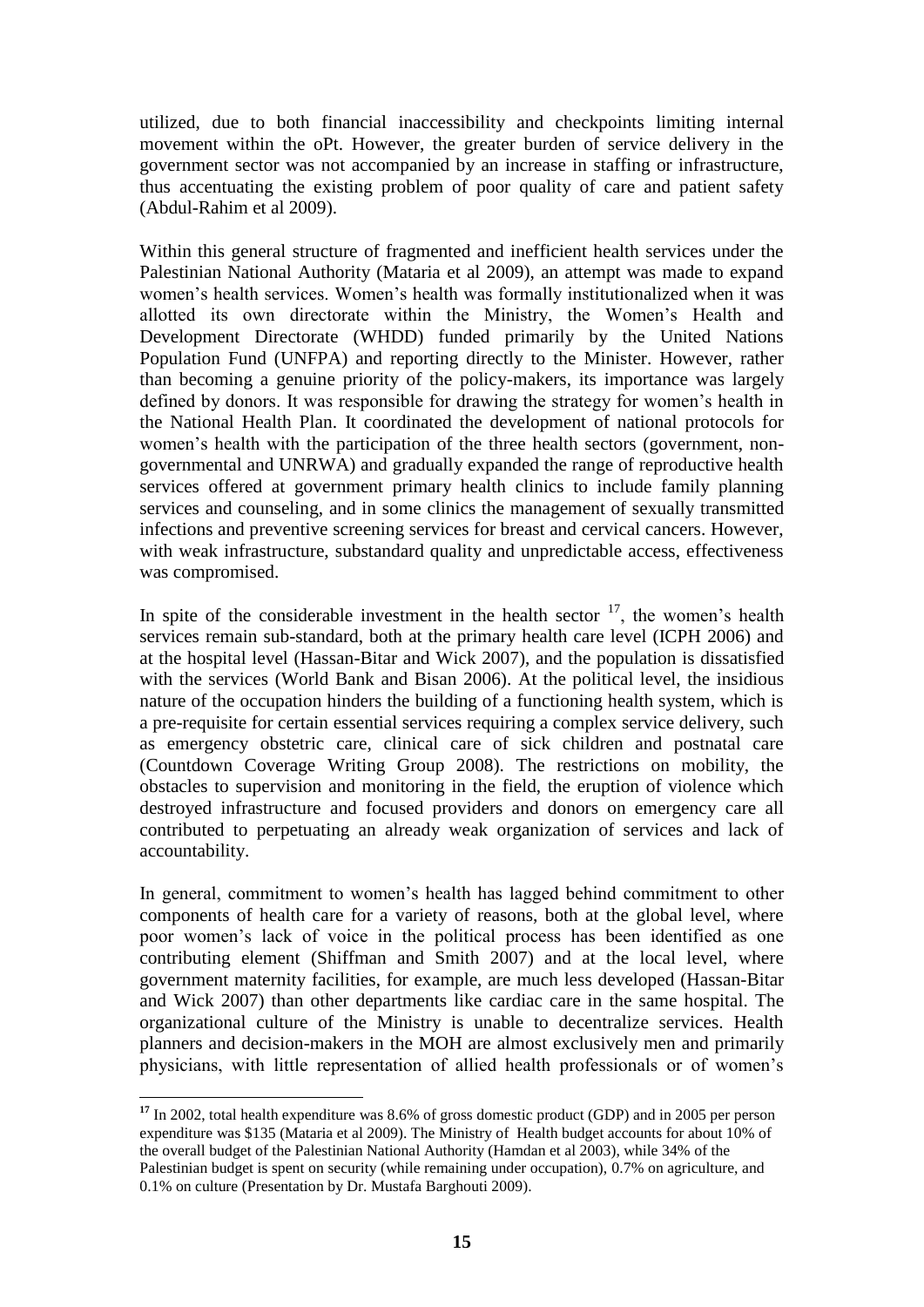utilized, due to both financial inaccessibility and checkpoints limiting internal movement within the oPt. However, the greater burden of service delivery in the government sector was not accompanied by an increase in staffing or infrastructure, thus accentuating the existing problem of poor quality of care and patient safety (Abdul-Rahim et al 2009).

Within this general structure of fragmented and inefficient health services under the Palestinian National Authority (Mataria et al 2009), an attempt was made to expand women"s health services. Women"s health was formally institutionalized when it was allotted its own directorate within the Ministry, the Women"s Health and Development Directorate (WHDD) funded primarily by the United Nations Population Fund (UNFPA) and reporting directly to the Minister. However, rather than becoming a genuine priority of the policy-makers, its importance was largely defined by donors. It was responsible for drawing the strategy for women"s health in the National Health Plan. It coordinated the development of national protocols for women's health with the participation of the three health sectors (government, nongovernmental and UNRWA) and gradually expanded the range of reproductive health services offered at government primary health clinics to include family planning services and counseling, and in some clinics the management of sexually transmitted infections and preventive screening services for breast and cervical cancers. However, with weak infrastructure, substandard quality and unpredictable access, effectiveness was compromised.

In spite of the considerable investment in the health sector  $17$ , the women's health services remain sub-standard, both at the primary health care level (ICPH 2006) and at the hospital level (Hassan-Bitar and Wick 2007), and the population is dissatisfied with the services (World Bank and Bisan 2006). At the political level, the insidious nature of the occupation hinders the building of a functioning health system, which is a pre-requisite for certain essential services requiring a complex service delivery, such as emergency obstetric care, clinical care of sick children and postnatal care (Countdown Coverage Writing Group 2008). The restrictions on mobility, the obstacles to supervision and monitoring in the field, the eruption of violence which destroyed infrastructure and focused providers and donors on emergency care all contributed to perpetuating an already weak organization of services and lack of accountability.

In general, commitment to women"s health has lagged behind commitment to other components of health care for a variety of reasons, both at the global level, where poor women"s lack of voice in the political process has been identified as one contributing element (Shiffman and Smith 2007) and at the local level, where government maternity facilities, for example, are much less developed (Hassan-Bitar and Wick 2007) than other departments like cardiac care in the same hospital. The organizational culture of the Ministry is unable to decentralize services. Health planners and decision-makers in the MOH are almost exclusively men and primarily physicians, with little representation of allied health professionals or of women"s

**<sup>17</sup>** In 2002, total health expenditure was 8.6% of gross domestic product (GDP) and in 2005 per person expenditure was \$135 (Mataria et al 2009). The Ministry of Health budget accounts for about 10% of the overall budget of the Palestinian National Authority (Hamdan et al 2003), while 34% of the Palestinian budget is spent on security (while remaining under occupation), 0.7% on agriculture, and

<sup>0.1%</sup> on culture (Presentation by Dr. Mustafa Barghouti 2009).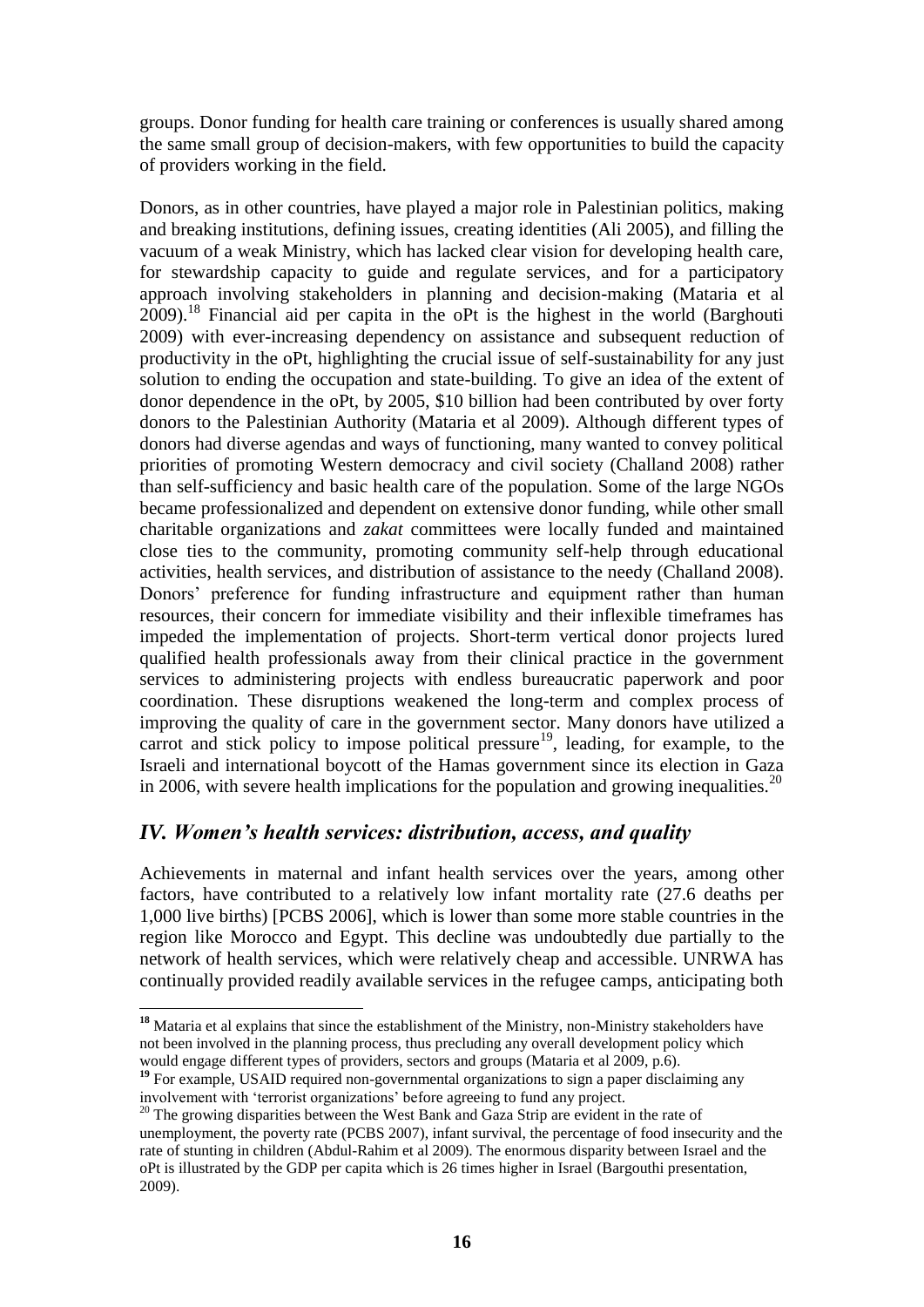groups. Donor funding for health care training or conferences is usually shared among the same small group of decision-makers, with few opportunities to build the capacity of providers working in the field.

Donors, as in other countries, have played a major role in Palestinian politics, making and breaking institutions, defining issues, creating identities (Ali 2005), and filling the vacuum of a weak Ministry, which has lacked clear vision for developing health care, for stewardship capacity to guide and regulate services, and for a participatory approach involving stakeholders in planning and decision-making (Mataria et al  $2009$ ).<sup>18</sup> Financial aid per capita in the oPt is the highest in the world (Barghouti 2009) with ever-increasing dependency on assistance and subsequent reduction of productivity in the oPt, highlighting the crucial issue of self-sustainability for any just solution to ending the occupation and state-building. To give an idea of the extent of donor dependence in the oPt, by 2005, \$10 billion had been contributed by over forty donors to the Palestinian Authority (Mataria et al 2009). Although different types of donors had diverse agendas and ways of functioning, many wanted to convey political priorities of promoting Western democracy and civil society (Challand 2008) rather than self-sufficiency and basic health care of the population. Some of the large NGOs became professionalized and dependent on extensive donor funding, while other small charitable organizations and *zakat* committees were locally funded and maintained close ties to the community, promoting community self-help through educational activities, health services, and distribution of assistance to the needy (Challand 2008). Donors' preference for funding infrastructure and equipment rather than human resources, their concern for immediate visibility and their inflexible timeframes has impeded the implementation of projects. Short-term vertical donor projects lured qualified health professionals away from their clinical practice in the government services to administering projects with endless bureaucratic paperwork and poor coordination. These disruptions weakened the long-term and complex process of improving the quality of care in the government sector. Many donors have utilized a carrot and stick policy to impose political pressure<sup>19</sup>, leading, for example, to the Israeli and international boycott of the Hamas government since its election in Gaza in 2006, with severe health implications for the population and growing inequalities.<sup>20</sup>

# *IV. Women's health services: distribution, access, and quality*

Achievements in maternal and infant health services over the years, among other factors, have contributed to a relatively low infant mortality rate (27.6 deaths per 1,000 live births) [PCBS 2006], which is lower than some more stable countries in the region like Morocco and Egypt. This decline was undoubtedly due partially to the network of health services, which were relatively cheap and accessible. UNRWA has continually provided readily available services in the refugee camps, anticipating both

<sup>&</sup>lt;sup>18</sup> Mataria et al explains that since the establishment of the Ministry, non-Ministry stakeholders have not been involved in the planning process, thus precluding any overall development policy which would engage different types of providers, sectors and groups (Mataria et al 2009, p.6).

<sup>&</sup>lt;sup>19</sup> For example, USAID required non-governmental organizations to sign a paper disclaiming any involvement with "terrorist organizations" before agreeing to fund any project.

<sup>&</sup>lt;sup>20</sup> The growing disparities between the West Bank and Gaza Strip are evident in the rate of unemployment, the poverty rate (PCBS 2007), infant survival, the percentage of food insecurity and the rate of stunting in children (Abdul-Rahim et al 2009). The enormous disparity between Israel and the oPt is illustrated by the GDP per capita which is 26 times higher in Israel (Bargouthi presentation, 2009).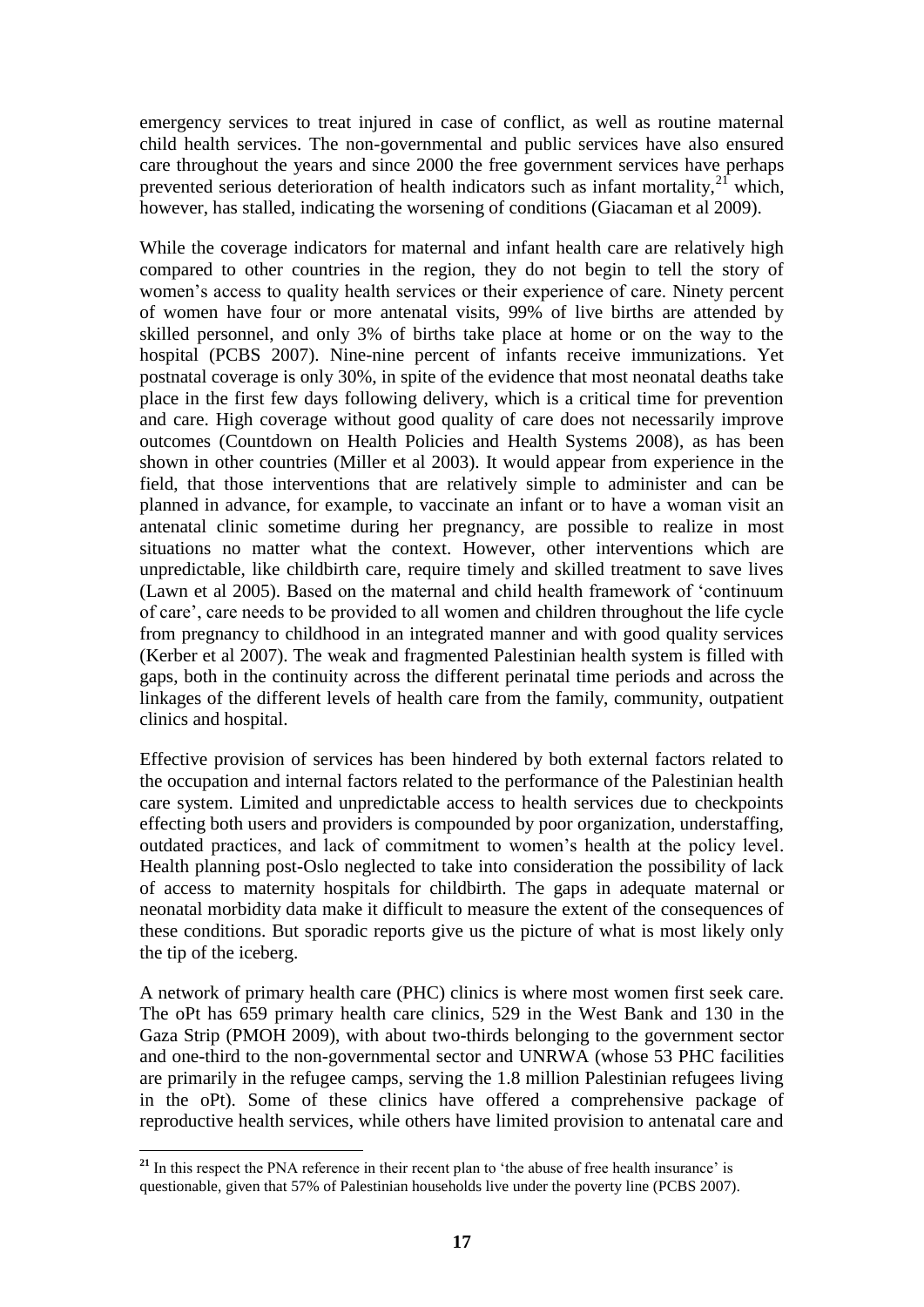emergency services to treat injured in case of conflict, as well as routine maternal child health services. The non-governmental and public services have also ensured care throughout the years and since 2000 the free government services have perhaps prevented serious deterioration of health indicators such as infant mortality, $2^{\gamma}$  which, however, has stalled, indicating the worsening of conditions (Giacaman et al 2009).

While the coverage indicators for maternal and infant health care are relatively high compared to other countries in the region, they do not begin to tell the story of women's access to quality health services or their experience of care. Ninety percent of women have four or more antenatal visits, 99% of live births are attended by skilled personnel, and only 3% of births take place at home or on the way to the hospital (PCBS 2007). Nine-nine percent of infants receive immunizations. Yet postnatal coverage is only 30%, in spite of the evidence that most neonatal deaths take place in the first few days following delivery, which is a critical time for prevention and care. High coverage without good quality of care does not necessarily improve outcomes (Countdown on Health Policies and Health Systems 2008), as has been shown in other countries (Miller et al 2003). It would appear from experience in the field, that those interventions that are relatively simple to administer and can be planned in advance, for example, to vaccinate an infant or to have a woman visit an antenatal clinic sometime during her pregnancy, are possible to realize in most situations no matter what the context. However, other interventions which are unpredictable, like childbirth care, require timely and skilled treatment to save lives (Lawn et al 2005). Based on the maternal and child health framework of "continuum of care", care needs to be provided to all women and children throughout the life cycle from pregnancy to childhood in an integrated manner and with good quality services (Kerber et al 2007). The weak and fragmented Palestinian health system is filled with gaps, both in the continuity across the different perinatal time periods and across the linkages of the different levels of health care from the family, community, outpatient clinics and hospital.

Effective provision of services has been hindered by both external factors related to the occupation and internal factors related to the performance of the Palestinian health care system. Limited and unpredictable access to health services due to checkpoints effecting both users and providers is compounded by poor organization, understaffing, outdated practices, and lack of commitment to women"s health at the policy level. Health planning post-Oslo neglected to take into consideration the possibility of lack of access to maternity hospitals for childbirth. The gaps in adequate maternal or neonatal morbidity data make it difficult to measure the extent of the consequences of these conditions. But sporadic reports give us the picture of what is most likely only the tip of the iceberg.

A network of primary health care (PHC) clinics is where most women first seek care. The oPt has 659 primary health care clinics, 529 in the West Bank and 130 in the Gaza Strip (PMOH 2009), with about two-thirds belonging to the government sector and one-third to the non-governmental sector and UNRWA (whose 53 PHC facilities are primarily in the refugee camps, serving the 1.8 million Palestinian refugees living in the oPt). Some of these clinics have offered a comprehensive package of reproductive health services, while others have limited provision to antenatal care and

 <sup>21</sup> In this respect the PNA reference in their recent plan to 'the abuse of free health insurance' is questionable, given that 57% of Palestinian households live under the poverty line (PCBS 2007).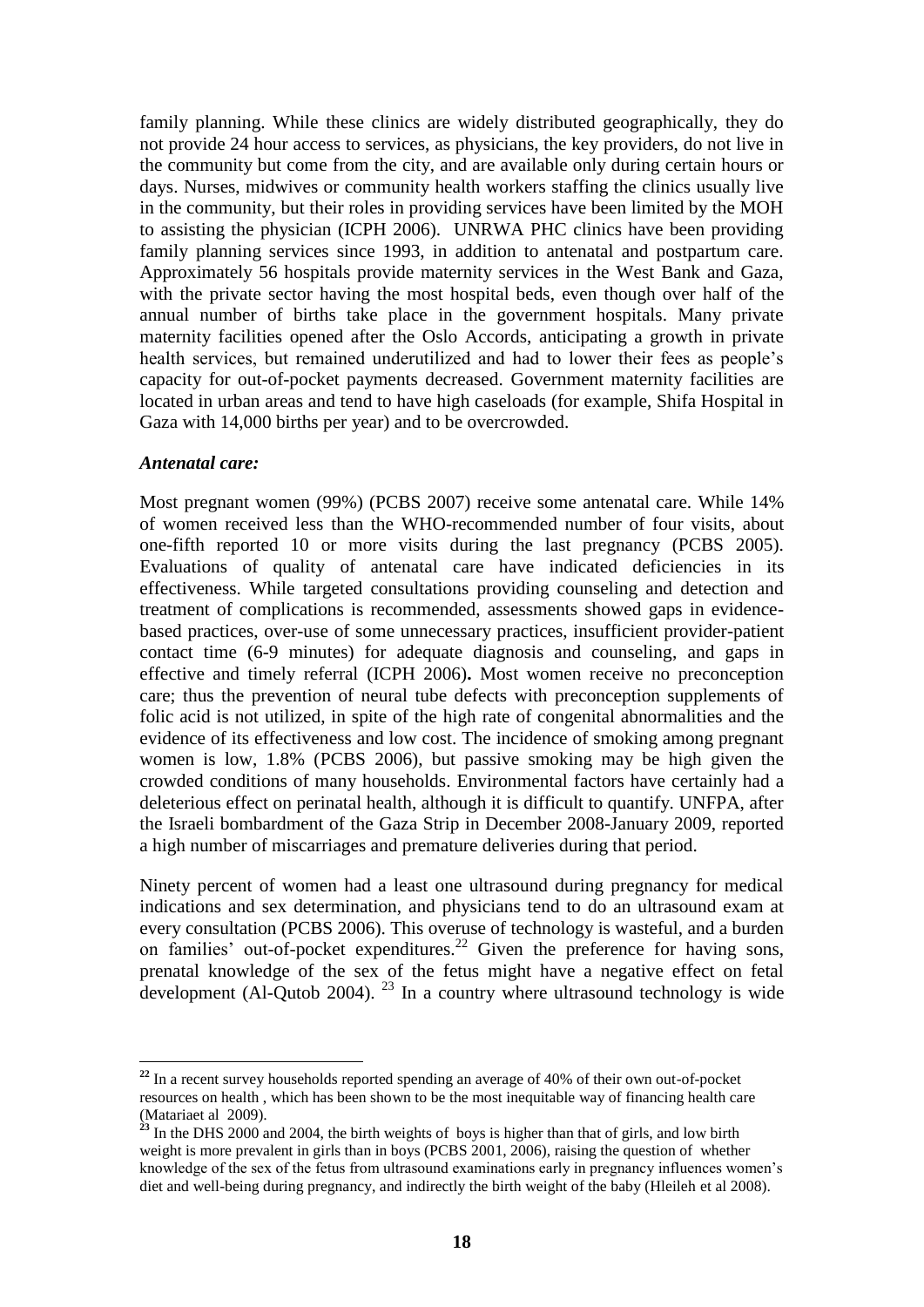family planning. While these clinics are widely distributed geographically, they do not provide 24 hour access to services, as physicians, the key providers, do not live in the community but come from the city, and are available only during certain hours or days. Nurses, midwives or community health workers staffing the clinics usually live in the community, but their roles in providing services have been limited by the MOH to assisting the physician (ICPH 2006). UNRWA PHC clinics have been providing family planning services since 1993, in addition to antenatal and postpartum care. Approximately 56 hospitals provide maternity services in the West Bank and Gaza, with the private sector having the most hospital beds, even though over half of the annual number of births take place in the government hospitals. Many private maternity facilities opened after the Oslo Accords, anticipating a growth in private health services, but remained underutilized and had to lower their fees as people"s capacity for out-of-pocket payments decreased. Government maternity facilities are located in urban areas and tend to have high caseloads (for example, Shifa Hospital in Gaza with 14,000 births per year) and to be overcrowded.

#### *Antenatal care:*

Most pregnant women (99%) (PCBS 2007) receive some antenatal care. While 14% of women received less than the WHO-recommended number of four visits, about one-fifth reported 10 or more visits during the last pregnancy (PCBS 2005). Evaluations of quality of antenatal care have indicated deficiencies in its effectiveness. While targeted consultations providing counseling and detection and treatment of complications is recommended, assessments showed gaps in evidencebased practices, over-use of some unnecessary practices, insufficient provider-patient contact time (6-9 minutes) for adequate diagnosis and counseling, and gaps in effective and timely referral (ICPH 2006)**.** Most women receive no preconception care; thus the prevention of neural tube defects with preconception supplements of folic acid is not utilized, in spite of the high rate of congenital abnormalities and the evidence of its effectiveness and low cost. The incidence of smoking among pregnant women is low, 1.8% (PCBS 2006), but passive smoking may be high given the crowded conditions of many households. Environmental factors have certainly had a deleterious effect on perinatal health, although it is difficult to quantify. UNFPA, after the Israeli bombardment of the Gaza Strip in December 2008-January 2009, reported a high number of miscarriages and premature deliveries during that period.

Ninety percent of women had a least one ultrasound during pregnancy for medical indications and sex determination, and physicians tend to do an ultrasound exam at every consultation (PCBS 2006). This overuse of technology is wasteful, and a burden on families' out-of-pocket expenditures.<sup>22</sup> Given the preference for having sons, prenatal knowledge of the sex of the fetus might have a negative effect on fetal development (Al-Qutob 2004).  $^{23}$  In a country where ultrasound technology is wide

**<sup>22</sup>** In a recent survey households reported spending an average of 40% of their own out-of-pocket resources on health , which has been shown to be the most inequitable way of financing health care (Matariaet al 2009).

<sup>&</sup>lt;sup>23</sup> In the DHS 2000 and 2004, the birth weights of boys is higher than that of girls, and low birth weight is more prevalent in girls than in boys (PCBS 2001, 2006), raising the question of whether knowledge of the sex of the fetus from ultrasound examinations early in pregnancy influences women"s diet and well-being during pregnancy, and indirectly the birth weight of the baby (Hleileh et al 2008).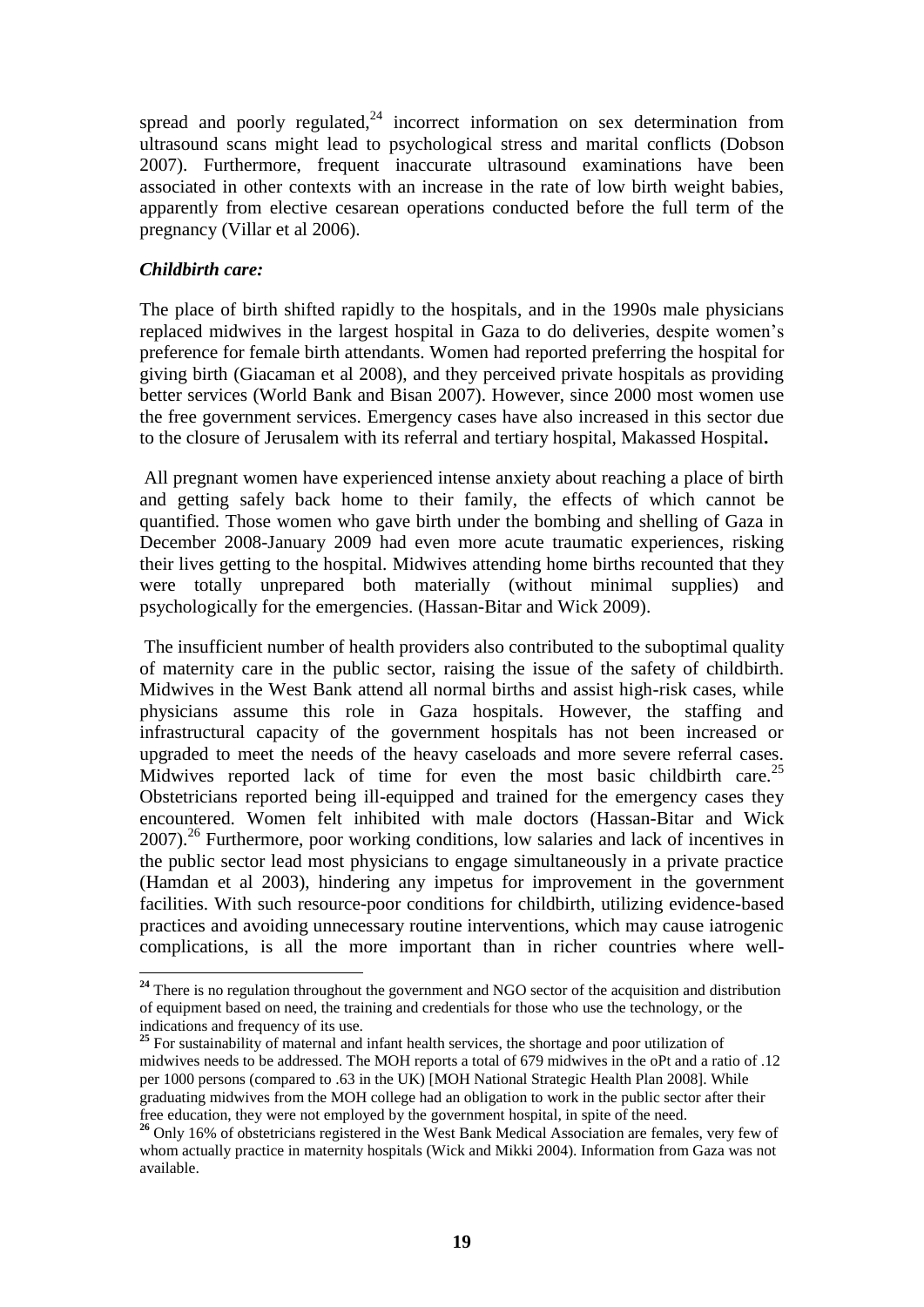spread and poorly regulated, $24$  incorrect information on sex determination from ultrasound scans might lead to psychological stress and marital conflicts (Dobson 2007). Furthermore, frequent inaccurate ultrasound examinations have been associated in other contexts with an increase in the rate of low birth weight babies, apparently from elective cesarean operations conducted before the full term of the pregnancy (Villar et al 2006).

### *Childbirth care:*

The place of birth shifted rapidly to the hospitals, and in the 1990s male physicians replaced midwives in the largest hospital in Gaza to do deliveries, despite women"s preference for female birth attendants. Women had reported preferring the hospital for giving birth (Giacaman et al 2008), and they perceived private hospitals as providing better services (World Bank and Bisan 2007). However, since 2000 most women use the free government services. Emergency cases have also increased in this sector due to the closure of Jerusalem with its referral and tertiary hospital, Makassed Hospital**.**

All pregnant women have experienced intense anxiety about reaching a place of birth and getting safely back home to their family, the effects of which cannot be quantified. Those women who gave birth under the bombing and shelling of Gaza in December 2008-January 2009 had even more acute traumatic experiences, risking their lives getting to the hospital. Midwives attending home births recounted that they were totally unprepared both materially (without minimal supplies) and psychologically for the emergencies. (Hassan-Bitar and Wick 2009).

The insufficient number of health providers also contributed to the suboptimal quality of maternity care in the public sector, raising the issue of the safety of childbirth. Midwives in the West Bank attend all normal births and assist high-risk cases, while physicians assume this role in Gaza hospitals. However, the staffing and infrastructural capacity of the government hospitals has not been increased or upgraded to meet the needs of the heavy caseloads and more severe referral cases. Midwives reported lack of time for even the most basic childbirth care.<sup>25</sup> Obstetricians reported being ill-equipped and trained for the emergency cases they encountered. Women felt inhibited with male doctors (Hassan-Bitar and Wick  $2007$ )<sup>26</sup> Furthermore, poor working conditions, low salaries and lack of incentives in the public sector lead most physicians to engage simultaneously in a private practice (Hamdan et al 2003), hindering any impetus for improvement in the government facilities. With such resource-poor conditions for childbirth, utilizing evidence-based practices and avoiding unnecessary routine interventions, which may cause iatrogenic complications, is all the more important than in richer countries where well-

<sup>&</sup>lt;sup>24</sup> There is no regulation throughout the government and NGO sector of the acquisition and distribution of equipment based on need, the training and credentials for those who use the technology, or the indications and frequency of its use.

<sup>&</sup>lt;sup>25</sup> For sustainability of maternal and infant health services, the shortage and poor utilization of midwives needs to be addressed. The MOH reports a total of 679 midwives in the oPt and a ratio of .12 per 1000 persons (compared to .63 in the UK) [MOH National Strategic Health Plan 2008]. While graduating midwives from the MOH college had an obligation to work in the public sector after their free education, they were not employed by the government hospital, in spite of the need.

<sup>&</sup>lt;sup>26</sup> Only 16% of obstetricians registered in the West Bank Medical Association are females, very few of whom actually practice in maternity hospitals (Wick and Mikki 2004). Information from Gaza was not available.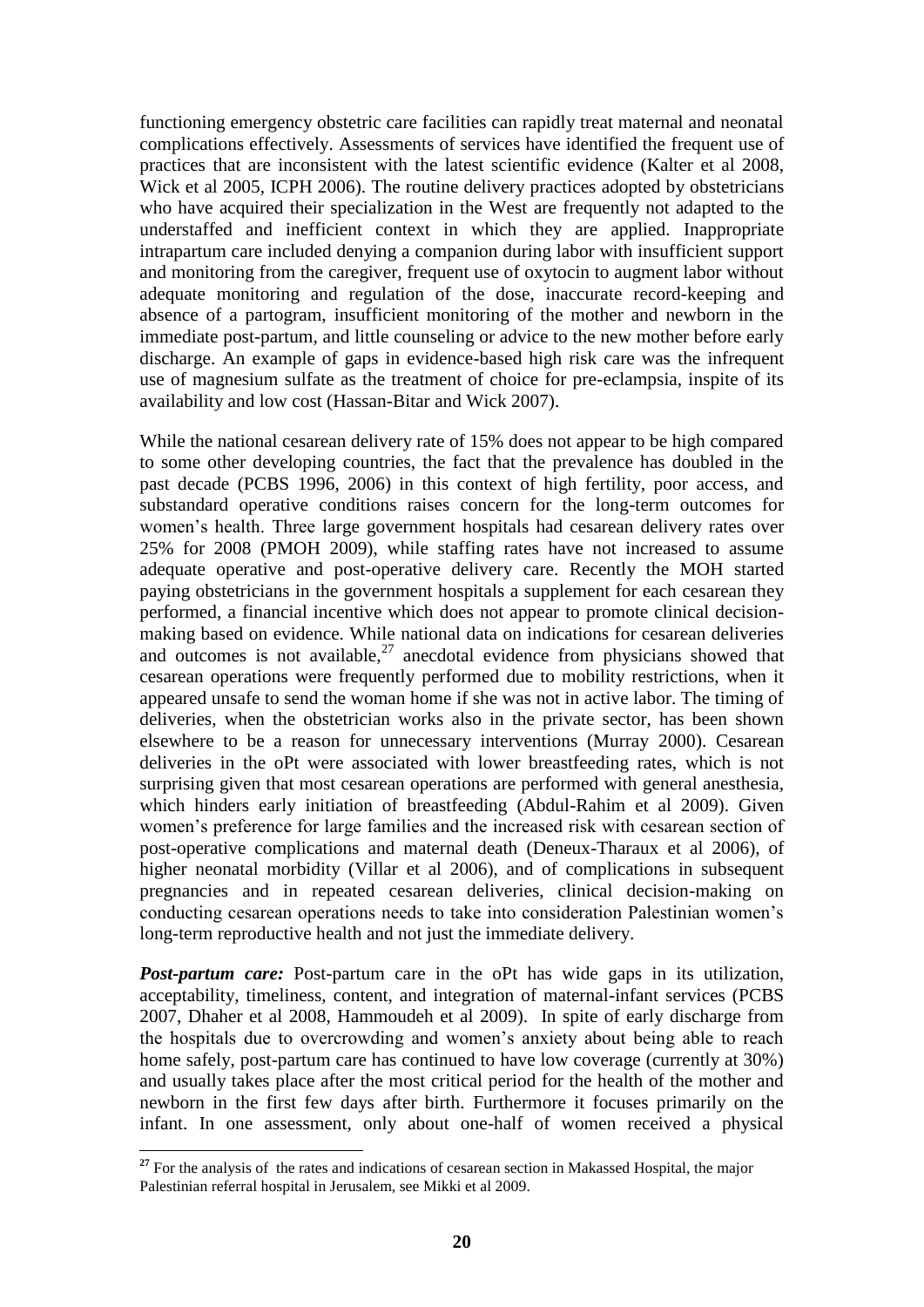functioning emergency obstetric care facilities can rapidly treat maternal and neonatal complications effectively. Assessments of services have identified the frequent use of practices that are inconsistent with the latest scientific evidence (Kalter et al 2008, Wick et al 2005, ICPH 2006). The routine delivery practices adopted by obstetricians who have acquired their specialization in the West are frequently not adapted to the understaffed and inefficient context in which they are applied. Inappropriate intrapartum care included denying a companion during labor with insufficient support and monitoring from the caregiver, frequent use of oxytocin to augment labor without adequate monitoring and regulation of the dose, inaccurate record-keeping and absence of a partogram, insufficient monitoring of the mother and newborn in the immediate post-partum, and little counseling or advice to the new mother before early discharge. An example of gaps in evidence-based high risk care was the infrequent use of magnesium sulfate as the treatment of choice for pre-eclampsia, inspite of its availability and low cost (Hassan-Bitar and Wick 2007).

While the national cesarean delivery rate of 15% does not appear to be high compared to some other developing countries, the fact that the prevalence has doubled in the past decade (PCBS 1996, 2006) in this context of high fertility, poor access, and substandard operative conditions raises concern for the long-term outcomes for women"s health. Three large government hospitals had cesarean delivery rates over 25% for 2008 (PMOH 2009), while staffing rates have not increased to assume adequate operative and post-operative delivery care. Recently the MOH started paying obstetricians in the government hospitals a supplement for each cesarean they performed, a financial incentive which does not appear to promote clinical decisionmaking based on evidence. While national data on indications for cesarean deliveries and outcomes is not available.<sup>27</sup> anecdotal evidence from physicians showed that cesarean operations were frequently performed due to mobility restrictions, when it appeared unsafe to send the woman home if she was not in active labor. The timing of deliveries, when the obstetrician works also in the private sector, has been shown elsewhere to be a reason for unnecessary interventions (Murray 2000). Cesarean deliveries in the oPt were associated with lower breastfeeding rates, which is not surprising given that most cesarean operations are performed with general anesthesia, which hinders early initiation of breastfeeding (Abdul-Rahim et al 2009). Given women"s preference for large families and the increased risk with cesarean section of post-operative complications and maternal death (Deneux-Tharaux et al 2006), of higher neonatal morbidity (Villar et al 2006), and of complications in subsequent pregnancies and in repeated cesarean deliveries, clinical decision-making on conducting cesarean operations needs to take into consideration Palestinian women"s long-term reproductive health and not just the immediate delivery.

**Post-partum care:** Post-partum care in the oPt has wide gaps in its utilization, acceptability, timeliness, content, and integration of maternal-infant services (PCBS 2007, Dhaher et al 2008, Hammoudeh et al 2009). In spite of early discharge from the hospitals due to overcrowding and women"s anxiety about being able to reach home safely, post-partum care has continued to have low coverage (currently at 30%) and usually takes place after the most critical period for the health of the mother and newborn in the first few days after birth. Furthermore it focuses primarily on the infant. In one assessment, only about one-half of women received a physical

 <sup>27</sup> For the analysis of the rates and indications of cesarean section in Makassed Hospital, the major Palestinian referral hospital in Jerusalem, see Mikki et al 2009.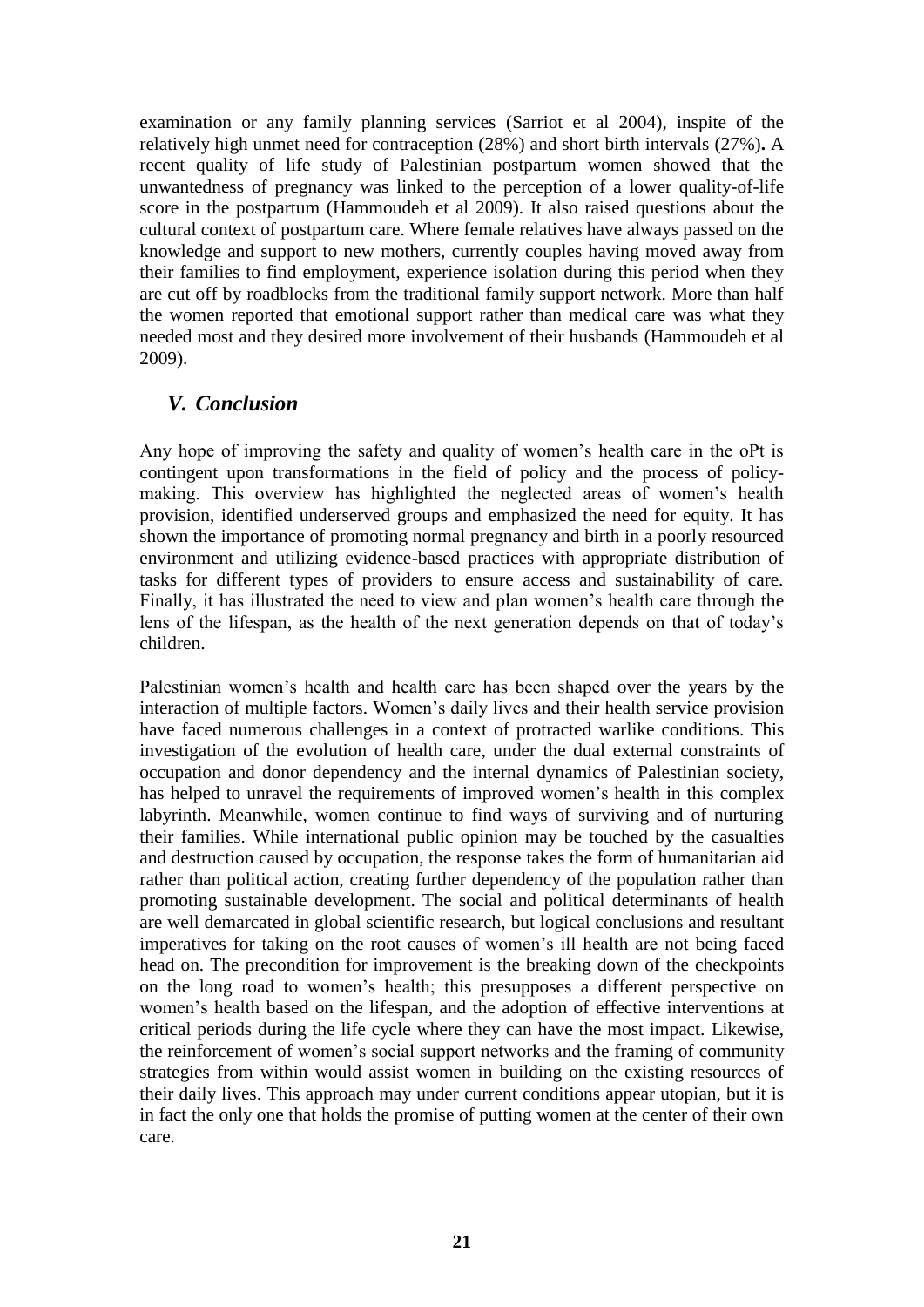examination or any family planning services (Sarriot et al 2004), inspite of the relatively high unmet need for contraception (28%) and short birth intervals (27%)**.** A recent quality of life study of Palestinian postpartum women showed that the unwantedness of pregnancy was linked to the perception of a lower quality-of-life score in the postpartum (Hammoudeh et al 2009). It also raised questions about the cultural context of postpartum care. Where female relatives have always passed on the knowledge and support to new mothers, currently couples having moved away from their families to find employment, experience isolation during this period when they are cut off by roadblocks from the traditional family support network. More than half the women reported that emotional support rather than medical care was what they needed most and they desired more involvement of their husbands (Hammoudeh et al 2009).

# *V. Conclusion*

Any hope of improving the safety and quality of women"s health care in the oPt is contingent upon transformations in the field of policy and the process of policymaking. This overview has highlighted the neglected areas of women"s health provision, identified underserved groups and emphasized the need for equity. It has shown the importance of promoting normal pregnancy and birth in a poorly resourced environment and utilizing evidence-based practices with appropriate distribution of tasks for different types of providers to ensure access and sustainability of care. Finally, it has illustrated the need to view and plan women"s health care through the lens of the lifespan, as the health of the next generation depends on that of today"s children.

Palestinian women"s health and health care has been shaped over the years by the interaction of multiple factors. Women"s daily lives and their health service provision have faced numerous challenges in a context of protracted warlike conditions. This investigation of the evolution of health care, under the dual external constraints of occupation and donor dependency and the internal dynamics of Palestinian society, has helped to unravel the requirements of improved women"s health in this complex labyrinth. Meanwhile, women continue to find ways of surviving and of nurturing their families. While international public opinion may be touched by the casualties and destruction caused by occupation, the response takes the form of humanitarian aid rather than political action, creating further dependency of the population rather than promoting sustainable development. The social and political determinants of health are well demarcated in global scientific research, but logical conclusions and resultant imperatives for taking on the root causes of women"s ill health are not being faced head on. The precondition for improvement is the breaking down of the checkpoints on the long road to women"s health; this presupposes a different perspective on women"s health based on the lifespan, and the adoption of effective interventions at critical periods during the life cycle where they can have the most impact. Likewise, the reinforcement of women"s social support networks and the framing of community strategies from within would assist women in building on the existing resources of their daily lives. This approach may under current conditions appear utopian, but it is in fact the only one that holds the promise of putting women at the center of their own care.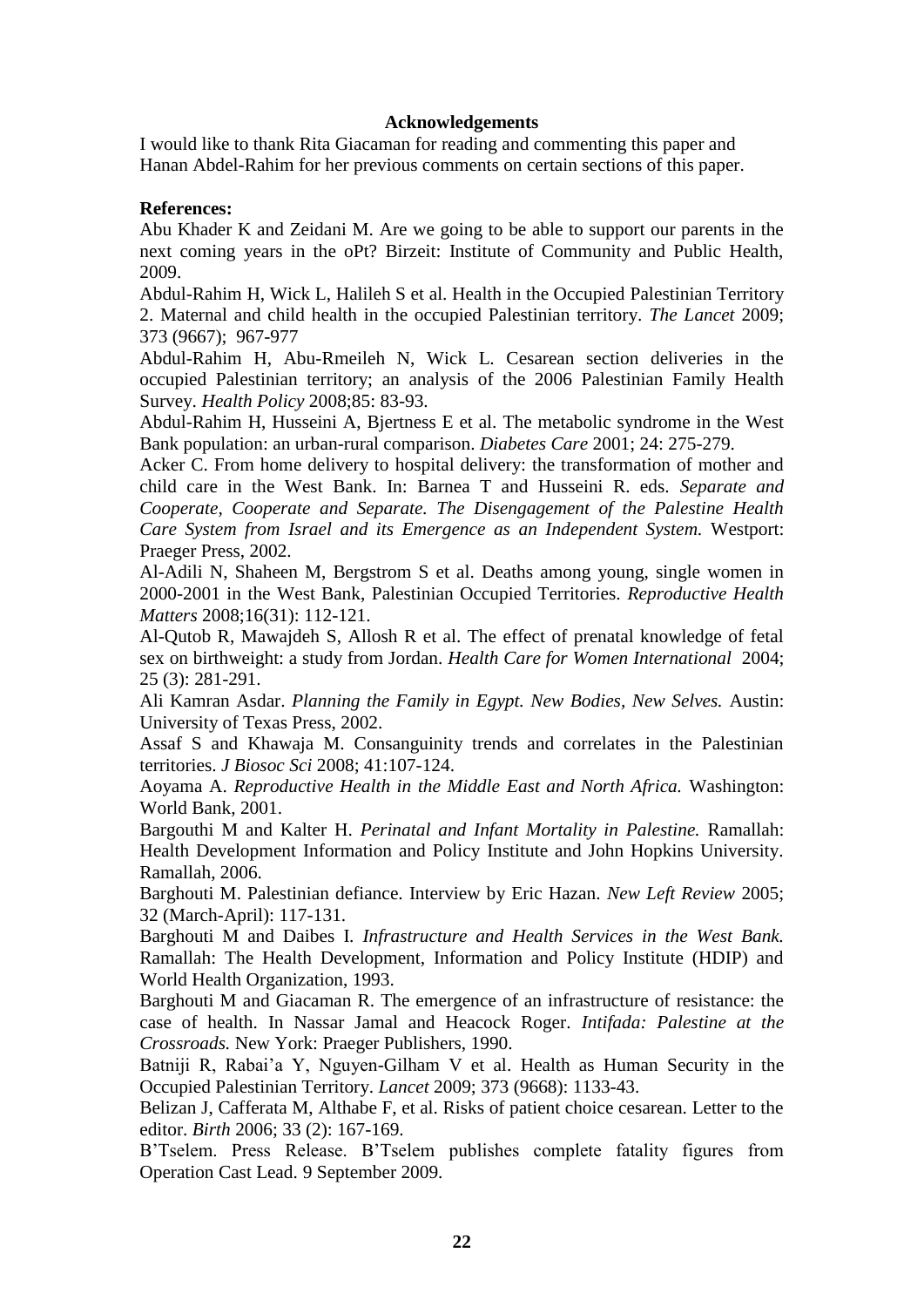#### **Acknowledgements**

I would like to thank Rita Giacaman for reading and commenting this paper and Hanan Abdel-Rahim for her previous comments on certain sections of this paper.

#### **References:**

Abu Khader K and Zeidani M. Are we going to be able to support our parents in the next coming years in the oPt? Birzeit: Institute of Community and Public Health, 2009.

Abdul-Rahim H, Wick L, Halileh S et al. Health in the Occupied Palestinian Territory 2. Maternal and child health in the occupied Palestinian territory. *The Lancet* 2009; 373 (9667); 967-977

Abdul-Rahim H, Abu-Rmeileh N, Wick L. Cesarean section deliveries in the occupied Palestinian territory; an analysis of the 2006 Palestinian Family Health Survey. *Health Policy* 2008;85: 83-93.

Abdul-Rahim H, Husseini A, Bjertness E et al. The metabolic syndrome in the West Bank population: an urban-rural comparison. *Diabetes Care* 2001; 24: 275-279.

Acker C. From home delivery to hospital delivery: the transformation of mother and child care in the West Bank. In: Barnea T and Husseini R. eds. *Separate and Cooperate, Cooperate and Separate. The Disengagement of the Palestine Health Care System from Israel and its Emergence as an Independent System.* Westport: Praeger Press, 2002.

Al-Adili N, Shaheen M, Bergstrom S et al. Deaths among young, single women in 2000-2001 in the West Bank, Palestinian Occupied Territories. *Reproductive Health Matters* 2008;16(31): 112-121.

Al-Qutob R, Mawajdeh S, Allosh R et al. The effect of prenatal knowledge of fetal sex on birthweight: a study from Jordan. *Health Care for Women International* 2004; 25 (3): 281-291.

Ali Kamran Asdar. *Planning the Family in Egypt. New Bodies, New Selves.* Austin: University of Texas Press, 2002.

Assaf S and Khawaja M. Consanguinity trends and correlates in the Palestinian territories. *J Biosoc Sci* 2008; 41:107-124.

Aoyama A. *Reproductive Health in the Middle East and North Africa.* Washington: World Bank, 2001.

Bargouthi M and Kalter H. *Perinatal and Infant Mortality in Palestine.* Ramallah: Health Development Information and Policy Institute and John Hopkins University. Ramallah, 2006.

Barghouti M. Palestinian defiance. Interview by Eric Hazan. *New Left Review* 2005; 32 (March-April): 117-131.

Barghouti M and Daibes I. *Infrastructure and Health Services in the West Bank.*  Ramallah: The Health Development, Information and Policy Institute (HDIP) and World Health Organization, 1993.

Barghouti M and Giacaman R. The emergence of an infrastructure of resistance: the case of health. In Nassar Jamal and Heacock Roger. *Intifada: Palestine at the Crossroads.* New York: Praeger Publishers, 1990.

Batniji R, Rabai'a Y, Nguyen-Gilham V et al. Health as Human Security in the Occupied Palestinian Territory. *Lancet* 2009; 373 (9668): 1133-43.

Belizan J, Cafferata M, Althabe F, et al. Risks of patient choice cesarean. Letter to the editor. *Birth* 2006; 33 (2): 167-169.

B"Tselem. Press Release. B"Tselem publishes complete fatality figures from Operation Cast Lead. 9 September 2009.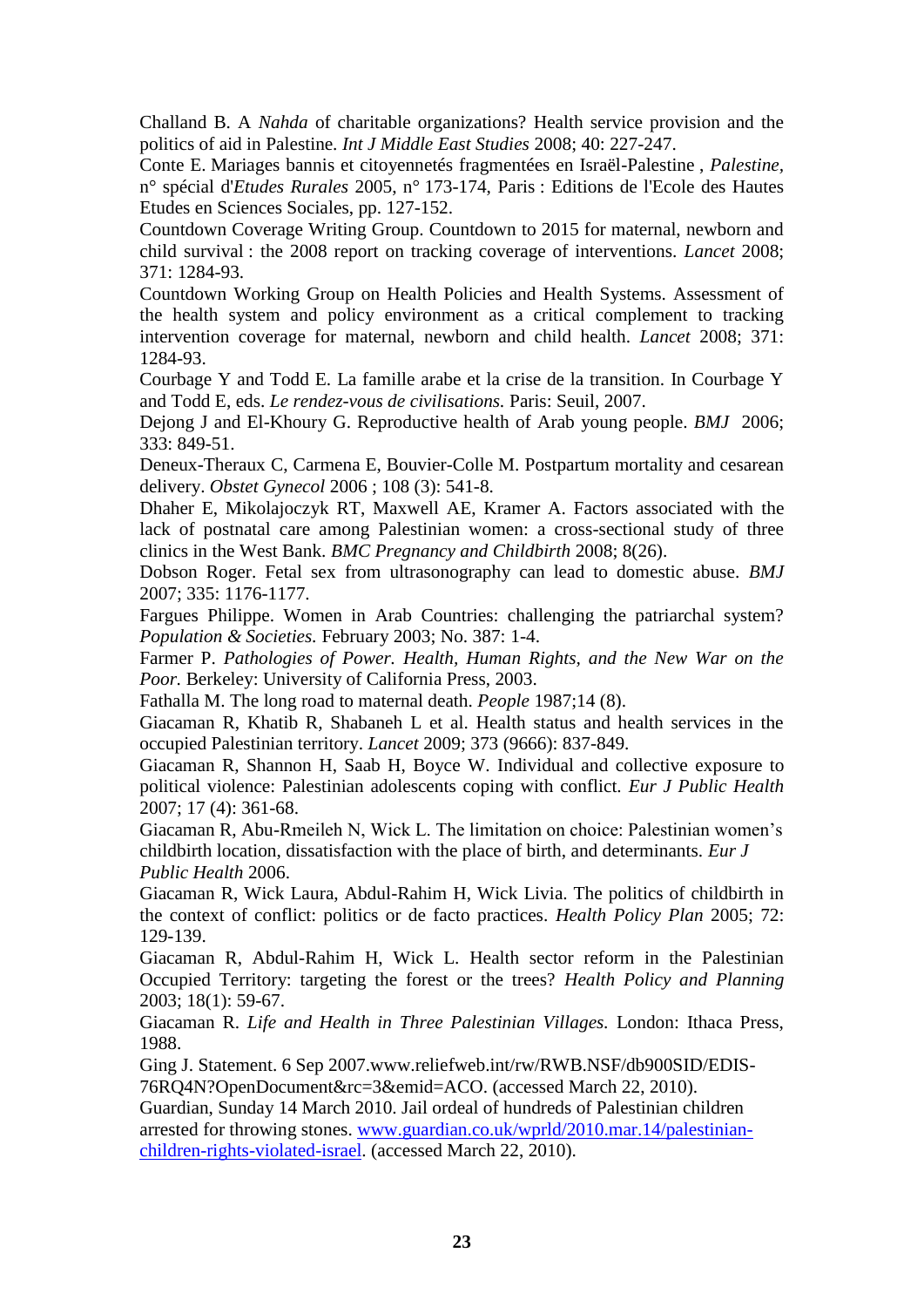Challand B. A *Nahda* of charitable organizations? Health service provision and the politics of aid in Palestine. *Int J Middle East Studies* 2008; 40: 227-247.

Conte E. Mariages bannis et citoyennetés fragmentées en Israël-Palestine , *Palestine,*  n° spécial d'*Etudes Rurales* 2005, n° 173-174, Paris : Editions de l'Ecole des Hautes Etudes en Sciences Sociales, pp. 127-152.

Countdown Coverage Writing Group. Countdown to 2015 for maternal, newborn and child survival : the 2008 report on tracking coverage of interventions. *Lancet* 2008; 371: 1284-93.

Countdown Working Group on Health Policies and Health Systems. Assessment of the health system and policy environment as a critical complement to tracking intervention coverage for maternal, newborn and child health. *Lancet* 2008; 371: 1284-93.

Courbage Y and Todd E. La famille arabe et la crise de la transition. In Courbage Y and Todd E, eds. *Le rendez-vous de civilisations.* Paris: Seuil, 2007.

Dejong J and El-Khoury G. Reproductive health of Arab young people. *BMJ* 2006; 333: 849-51.

Deneux-Theraux C, Carmena E, Bouvier-Colle M. Postpartum mortality and cesarean delivery. *Obstet Gynecol* 2006 ; 108 (3): 541-8.

Dhaher E, Mikolajoczyk RT, Maxwell AE, Kramer A. Factors associated with the lack of postnatal care among Palestinian women: a cross-sectional study of three clinics in the West Bank. *BMC Pregnancy and Childbirth* 2008; 8(26).

Dobson Roger. Fetal sex from ultrasonography can lead to domestic abuse. *BMJ*  2007; 335: 1176-1177.

Fargues Philippe. Women in Arab Countries: challenging the patriarchal system? *Population & Societies.* February 2003; No. 387: 1-4.

Farmer P. *Pathologies of Power. Health, Human Rights, and the New War on the Poor.* Berkeley: University of California Press, 2003.

Fathalla M. The long road to maternal death. *People* 1987;14 (8).

Giacaman R, Khatib R, Shabaneh L et al. Health status and health services in the occupied Palestinian territory. *Lancet* 2009; 373 (9666): 837-849.

Giacaman R, Shannon H, Saab H, Boyce W. Individual and collective exposure to political violence: Palestinian adolescents coping with conflict. *Eur J Public Health* 2007; 17 (4): 361-68.

Giacaman R, Abu-Rmeileh N, Wick L. The limitation on choice: Palestinian women"s childbirth location, dissatisfaction with the place of birth, and determinants. *Eur J Public Health* 2006.

Giacaman R, Wick Laura, Abdul-Rahim H, Wick Livia. The politics of childbirth in the context of conflict: politics or de facto practices. *Health Policy Plan* 2005; 72: 129-139.

Giacaman R, Abdul-Rahim H, Wick L. Health sector reform in the Palestinian Occupied Territory: targeting the forest or the trees? *Health Policy and Planning*  2003; 18(1): 59-67.

Giacaman R. *Life and Health in Three Palestinian Villages.* London: Ithaca Press, 1988.

Ging J. Statement. 6 Sep 2007.www.reliefweb.int/rw/RWB.NSF/db900SID/EDIS-76RQ4N?OpenDocument&rc=3&emid=ACO. (accessed March 22, 2010).

Guardian, Sunday 14 March 2010. Jail ordeal of hundreds of Palestinian children arrested for throwing stones. [www.guardian.co.uk/wprld/2010.mar.14/palestinian](http://www.guardian.co.uk/wprld/2010.mar.14/palestinian-children-rights-violated-israel)[children-rights-violated-israel.](http://www.guardian.co.uk/wprld/2010.mar.14/palestinian-children-rights-violated-israel) (accessed March 22, 2010).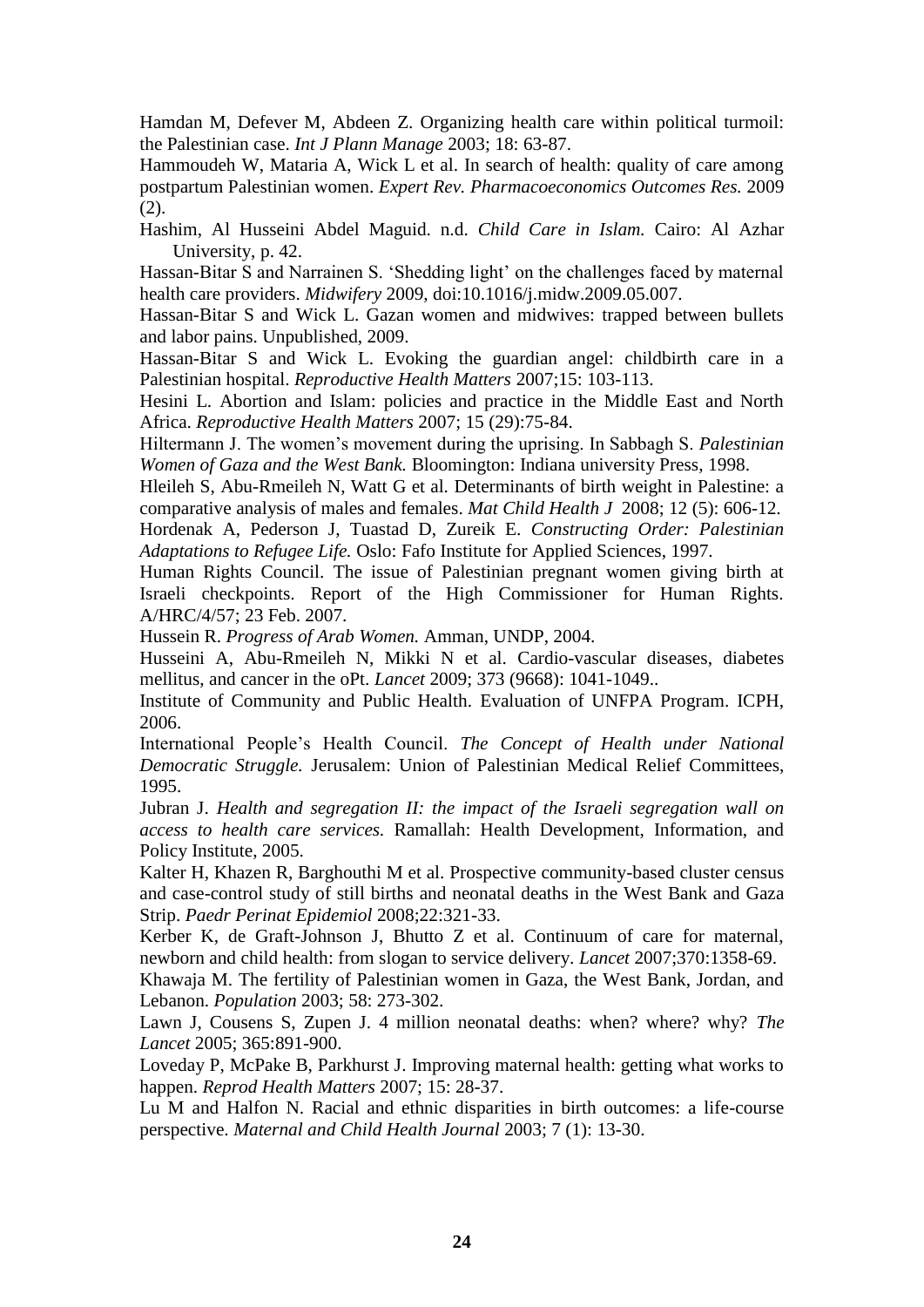Hamdan M, Defever M, Abdeen Z. Organizing health care within political turmoil: the Palestinian case. *Int J Plann Manage* 2003; 18: 63-87.

Hammoudeh W, Mataria A, Wick L et al. In search of health: quality of care among postpartum Palestinian women. *Expert Rev. Pharmacoeconomics Outcomes Res.* 2009 (2).

Hashim, Al Husseini Abdel Maguid. n.d. *Child Care in Islam.* Cairo: Al Azhar University, p. 42.

Hassan-Bitar S and Narrainen S. "Shedding light" on the challenges faced by maternal health care providers. *Midwifery* 2009, doi:10.1016/j.midw.2009.05.007.

Hassan-Bitar S and Wick L. Gazan women and midwives: trapped between bullets and labor pains. Unpublished, 2009.

Hassan-Bitar S and Wick L. Evoking the guardian angel: childbirth care in a Palestinian hospital. *Reproductive Health Matters* 2007;15: 103-113.

Hesini L. Abortion and Islam: policies and practice in the Middle East and North Africa. *Reproductive Health Matters* 2007; 15 (29):75-84.

Hiltermann J. The women"s movement during the uprising. In Sabbagh S. *Palestinian Women of Gaza and the West Bank.* Bloomington: Indiana university Press, 1998.

Hleileh S, Abu-Rmeileh N, Watt G et al. Determinants of birth weight in Palestine: a comparative analysis of males and females. *Mat Child Health J* 2008; 12 (5): 606-12.

Hordenak A, Pederson J, Tuastad D, Zureik E. *Constructing Order: Palestinian Adaptations to Refugee Life.* Oslo: Fafo Institute for Applied Sciences, 1997.

Human Rights Council. The issue of Palestinian pregnant women giving birth at Israeli checkpoints. Report of the High Commissioner for Human Rights. A/HRC/4/57; 23 Feb. 2007.

Hussein R. *Progress of Arab Women.* Amman, UNDP, 2004.

Husseini A, Abu-Rmeileh N, Mikki N et al. Cardio-vascular diseases, diabetes mellitus, and cancer in the oPt. *Lancet* 2009; 373 (9668): 1041-1049..

Institute of Community and Public Health. Evaluation of UNFPA Program. ICPH, 2006.

International People"s Health Council. *The Concept of Health under National Democratic Struggle.* Jerusalem: Union of Palestinian Medical Relief Committees, 1995.

Jubran J. *Health and segregation II: the impact of the Israeli segregation wall on access to health care services.* Ramallah: Health Development, Information, and Policy Institute, 2005.

Kalter H, Khazen R, Barghouthi M et al. Prospective community-based cluster census and case-control study of still births and neonatal deaths in the West Bank and Gaza Strip. *Paedr Perinat Epidemiol* 2008;22:321-33.

Kerber K, de Graft-Johnson J, Bhutto Z et al. Continuum of care for maternal, newborn and child health: from slogan to service delivery. *Lancet* 2007;370:1358-69.

Khawaja M. The fertility of Palestinian women in Gaza, the West Bank, Jordan, and Lebanon. *Population* 2003; 58: 273-302.

Lawn J, Cousens S, Zupen J. 4 million neonatal deaths: when? where? why? *The Lancet* 2005; 365:891-900.

Loveday P, McPake B, Parkhurst J. Improving maternal health: getting what works to happen. *Reprod Health Matters* 2007; 15: 28-37.

Lu M and Halfon N. Racial and ethnic disparities in birth outcomes: a life-course perspective. *Maternal and Child Health Journal* 2003; 7 (1): 13-30.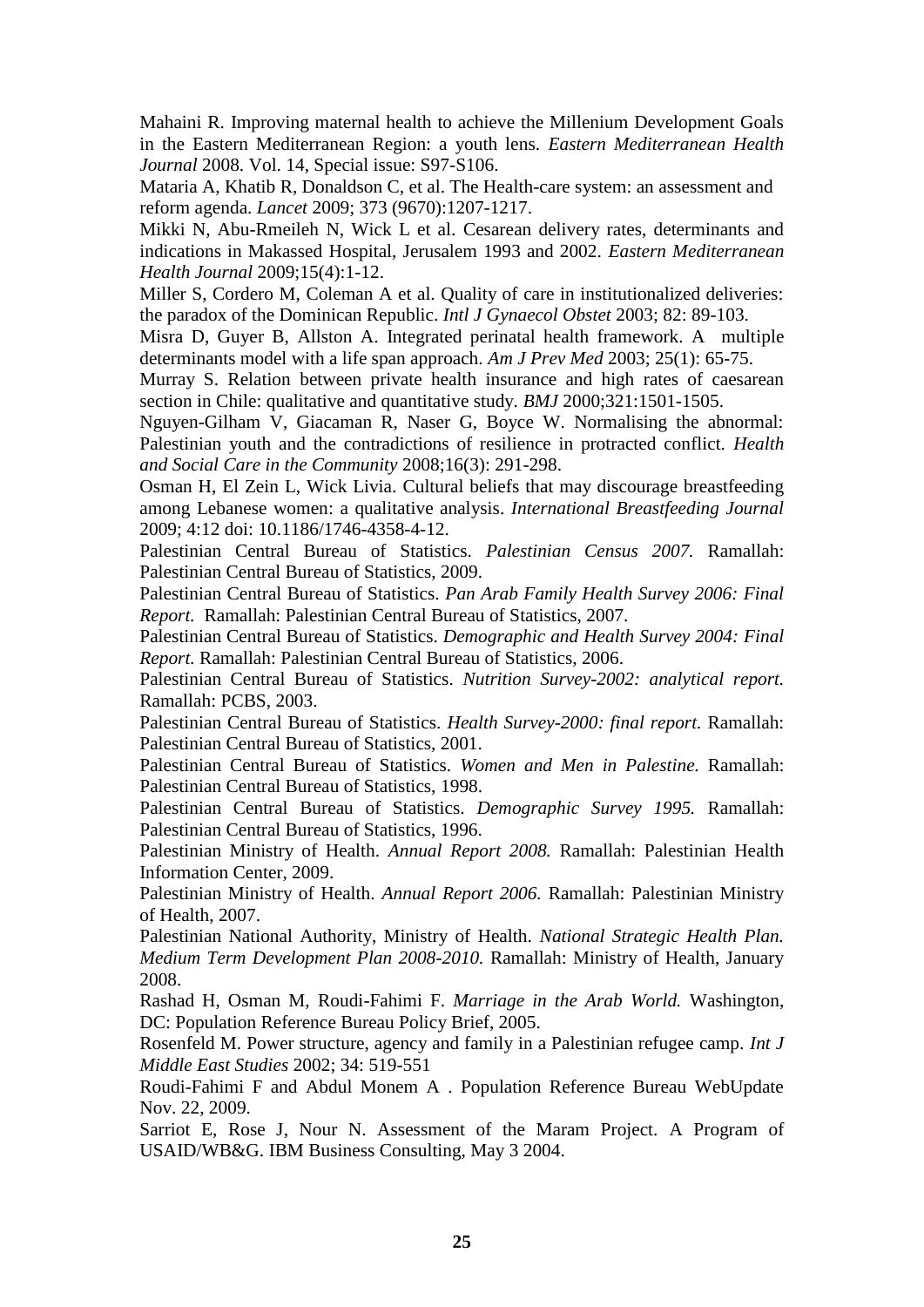Mahaini R. Improving maternal health to achieve the Millenium Development Goals in the Eastern Mediterranean Region: a youth lens. *Eastern Mediterranean Health Journal* 2008. Vol. 14, Special issue: S97-S106.

Mataria A, Khatib R, Donaldson C, et al. The Health-care system: an assessment and reform agenda. *Lancet* 2009; 373 (9670):1207-1217.

Mikki N, Abu-Rmeileh N, Wick L et al. Cesarean delivery rates, determinants and indications in Makassed Hospital, Jerusalem 1993 and 2002. *Eastern Mediterranean Health Journal* 2009;15(4):1-12.

Miller S, Cordero M, Coleman A et al. Quality of care in institutionalized deliveries: the paradox of the Dominican Republic. *Intl J Gynaecol Obstet* 2003; 82: 89-103.

Misra D, Guyer B, Allston A. Integrated perinatal health framework. A multiple determinants model with a life span approach. *Am J Prev Med* 2003; 25(1): 65-75.

Murray S. Relation between private health insurance and high rates of caesarean section in Chile: qualitative and quantitative study. *BMJ* 2000;321:1501-1505.

Nguyen-Gilham V, Giacaman R, Naser G, Boyce W. Normalising the abnormal: Palestinian youth and the contradictions of resilience in protracted conflict. *Health and Social Care in the Community* 2008;16(3): 291-298.

Osman H, El Zein L, Wick Livia. Cultural beliefs that may discourage breastfeeding among Lebanese women: a qualitative analysis. *International Breastfeeding Journal*  2009; 4:12 doi: 10.1186/1746-4358-4-12.

Palestinian Central Bureau of Statistics. *Palestinian Census 2007.* Ramallah: Palestinian Central Bureau of Statistics, 2009.

Palestinian Central Bureau of Statistics. *Pan Arab Family Health Survey 2006: Final Report.* Ramallah: Palestinian Central Bureau of Statistics, 2007.

Palestinian Central Bureau of Statistics. *Demographic and Health Survey 2004: Final Report.* Ramallah: Palestinian Central Bureau of Statistics, 2006.

Palestinian Central Bureau of Statistics. *Nutrition Survey-2002: analytical report.*  Ramallah: PCBS, 2003.

Palestinian Central Bureau of Statistics. *Health Survey-2000: final report.* Ramallah: Palestinian Central Bureau of Statistics, 2001.

Palestinian Central Bureau of Statistics. *Women and Men in Palestine.* Ramallah: Palestinian Central Bureau of Statistics, 1998.

Palestinian Central Bureau of Statistics. *Demographic Survey 1995.* Ramallah: Palestinian Central Bureau of Statistics, 1996.

Palestinian Ministry of Health. *Annual Report 2008.* Ramallah: Palestinian Health Information Center, 2009.

Palestinian Ministry of Health. *Annual Report 2006.* Ramallah: Palestinian Ministry of Health, 2007.

Palestinian National Authority, Ministry of Health. *National Strategic Health Plan. Medium Term Development Plan 2008-2010.* Ramallah: Ministry of Health, January 2008.

Rashad H, Osman M, Roudi-Fahimi F. *Marriage in the Arab World.* Washington, DC: Population Reference Bureau Policy Brief, 2005.

Rosenfeld M. Power structure, agency and family in a Palestinian refugee camp. *Int J Middle East Studies* 2002; 34: 519-551

Roudi-Fahimi F and Abdul Monem A . Population Reference Bureau WebUpdate Nov. 22, 2009.

Sarriot E, Rose J, Nour N. Assessment of the Maram Project. A Program of USAID/WB&G. IBM Business Consulting, May 3 2004.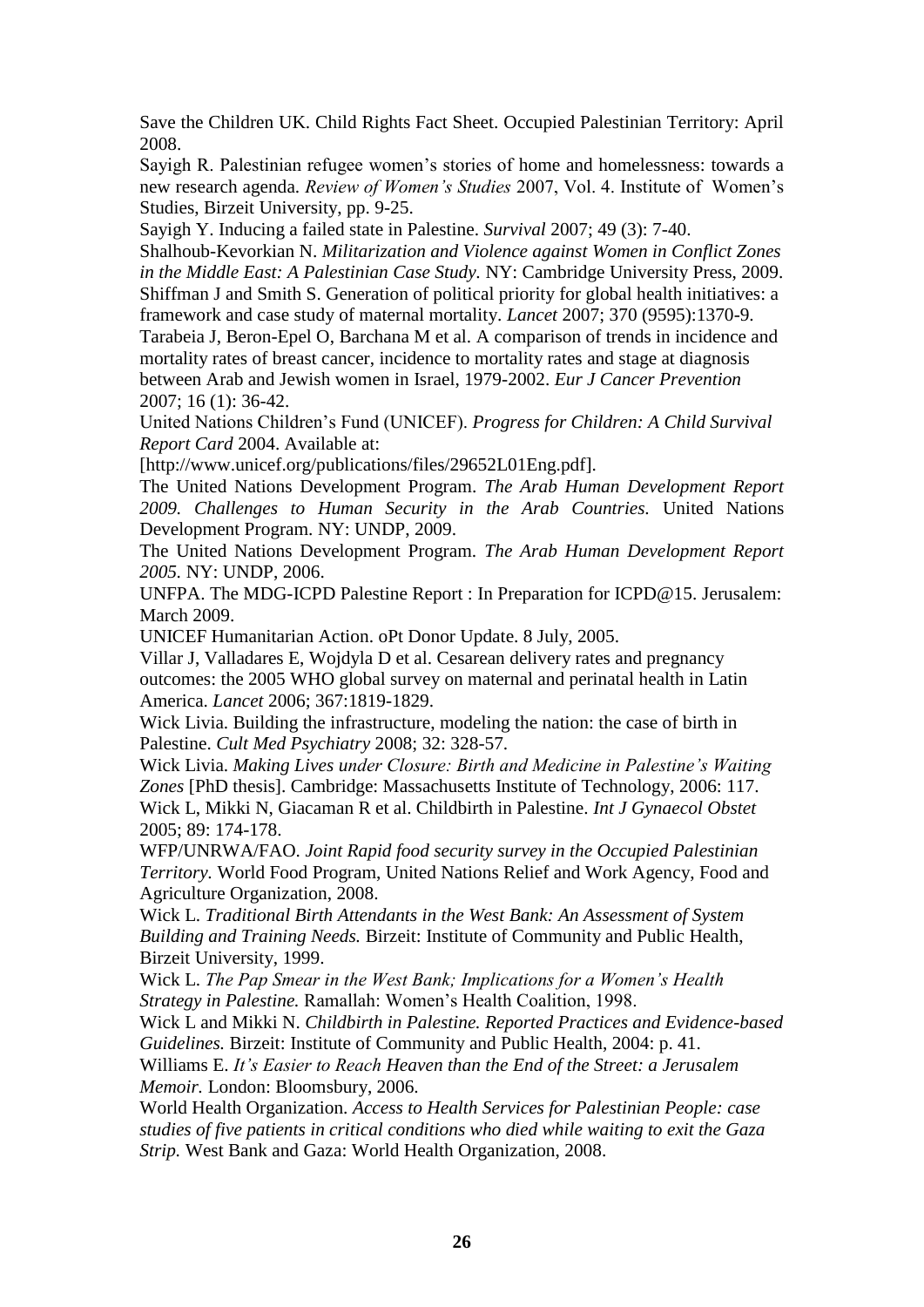Save the Children UK. Child Rights Fact Sheet. Occupied Palestinian Territory: April 2008.

Sayigh R. Palestinian refugee women"s stories of home and homelessness: towards a new research agenda. *Review of Women's Studies* 2007, Vol. 4. Institute of Women"s Studies, Birzeit University, pp. 9-25.

Sayigh Y. Inducing a failed state in Palestine. *Survival* 2007; 49 (3): 7-40.

Shalhoub-Kevorkian N. *Militarization and Violence against Women in Conflict Zones in the Middle East: A Palestinian Case Study.* NY: Cambridge University Press, 2009. Shiffman J and Smith S. Generation of political priority for global health initiatives: a framework and case study of maternal mortality. *Lancet* 2007; 370 (9595):1370-9.

Tarabeia J, Beron-Epel O, Barchana M et al. A comparison of trends in incidence and mortality rates of breast cancer, incidence to mortality rates and stage at diagnosis between Arab and Jewish women in Israel, 1979-2002. *Eur J Cancer Prevention* 2007; 16 (1): 36-42.

United Nations Children"s Fund (UNICEF). *Progress for Children: A Child Survival Report Card* 2004. Available at:

[http://www.unicef.org/publications/files/29652L01Eng.pdf].

The United Nations Development Program. *The Arab Human Development Report 2009. Challenges to Human Security in the Arab Countries.* United Nations Development Program. NY: UNDP, 2009.

The United Nations Development Program. *The Arab Human Development Report 2005.* NY: UNDP, 2006.

UNFPA. The MDG-ICPD Palestine Report : In Preparation for ICPD@15. Jerusalem: March 2009.

UNICEF Humanitarian Action. oPt Donor Update. 8 July, 2005.

Villar J, Valladares E, Wojdyla D et al. Cesarean delivery rates and pregnancy outcomes: the 2005 WHO global survey on maternal and perinatal health in Latin America. *Lancet* 2006; 367:1819-1829.

Wick Livia. Building the infrastructure, modeling the nation: the case of birth in Palestine. *Cult Med Psychiatry* 2008; 32: 328-57.

Wick Livia. *Making Lives under Closure: Birth and Medicine in Palestine's Waiting Zones* [PhD thesis]. Cambridge: Massachusetts Institute of Technology, 2006: 117. Wick L, Mikki N, Giacaman R et al. Childbirth in Palestine. *Int J Gynaecol Obstet*  2005; 89: 174-178.

WFP/UNRWA/FAO. *Joint Rapid food security survey in the Occupied Palestinian Territory.* World Food Program, United Nations Relief and Work Agency, Food and Agriculture Organization, 2008.

Wick L. *Traditional Birth Attendants in the West Bank: An Assessment of System Building and Training Needs.* Birzeit: Institute of Community and Public Health, Birzeit University, 1999.

Wick L. *The Pap Smear in the West Bank; Implications for a Women's Health Strategy in Palestine.* Ramallah: Women"s Health Coalition, 1998.

Wick L and Mikki N. *Childbirth in Palestine. Reported Practices and Evidence-based Guidelines.* Birzeit: Institute of Community and Public Health, 2004: p. 41.

Williams E. *It's Easier to Reach Heaven than the End of the Street: a Jerusalem Memoir.* London: Bloomsbury, 2006.

World Health Organization. *Access to Health Services for Palestinian People: case studies of five patients in critical conditions who died while waiting to exit the Gaza Strip.* West Bank and Gaza: World Health Organization, 2008.